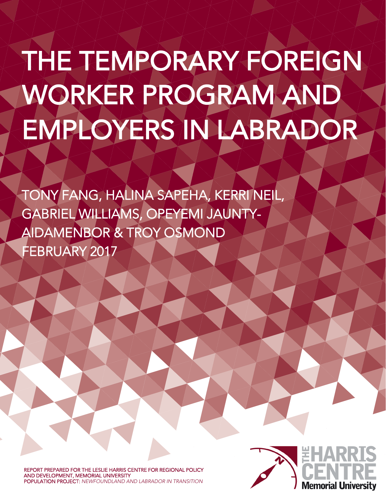# THE TEMPORARY FOREIGN WORKER PROGRAM AND EMPLOYERS IN LABRADOR

TONY FANG, HALINA SAPEHA, KERRI NEIL, GABRIEL WILLIAMS, OPEYEMI JAUNTY-AIDAMENBOR & TROY OSMOND FEBRUARY 2017

REPORT PREPARED FOR THE LESLIE HARRIS CENTRE FOR REGIONAL POLICY AND DEVELOPMENT, MEMORIAL UNIVERSITY POPULATION PROJECT: NEWFOUNDLAND AND LABRADOR IN TRANSITION

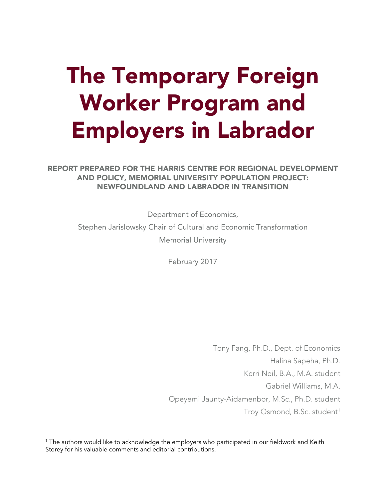## The Temporary Foreign Worker Program and Employers in Labrador

REPORT PREPARED FOR THE HARRIS CENTRE FOR REGIONAL DEVELOPMENT AND POLICY, MEMORIAL UNIVERSITY POPULATION PROJECT: NEWFOUNDLAND AND LABRADOR IN TRANSITION

> Department of Economics, Stephen Jarislowsky Chair of Cultural and Economic Transformation Memorial University

> > February 2017

Tony Fang, Ph.D., Dept. of Economics Halina Sapeha, Ph.D. Kerri Neil, B.A., M.A. student Gabriel Williams, M.A. Opeyemi Jaunty-Aidamenbor, M.Sc., Ph.D. student Troy Osmond, B.Sc. student<sup>1</sup>

 $\overline{\phantom{a}}$ 

<span id="page-1-0"></span><sup>&</sup>lt;sup>1</sup> The authors would like to acknowledge the employers who participated in our fieldwork and Keith Storey for his valuable comments and editorial contributions.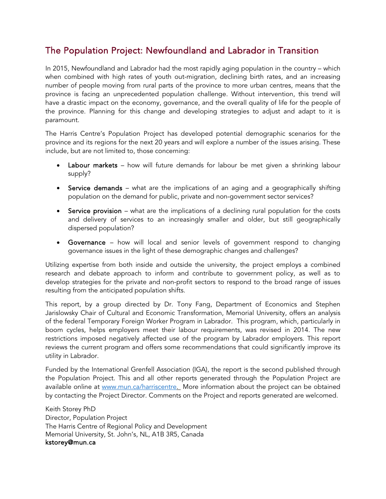## The Population Project: Newfoundland and Labrador in Transition

In 2015, Newfoundland and Labrador had the most rapidly aging population in the country – which when combined with high rates of youth out-migration, declining birth rates, and an increasing number of people moving from rural parts of the province to more urban centres, means that the province is facing an unprecedented population challenge. Without intervention, this trend will have a drastic impact on the economy, governance, and the overall quality of life for the people of the province. Planning for this change and developing strategies to adjust and adapt to it is paramount.

The Harris Centre's Population Project has developed potential demographic scenarios for the province and its regions for the next 20 years and will explore a number of the issues arising. These include, but are not limited to, those concerning:

- Labour markets how will future demands for labour be met given a shrinking labour supply?
- Service demands what are the implications of an aging and a geographically shifting population on the demand for public, private and non-government sector services?
- Service provision what are the implications of a declining rural population for the costs and delivery of services to an increasingly smaller and older, but still geographically dispersed population?
- Governance how will local and senior levels of government respond to changing governance issues in the light of these demographic changes and challenges?

Utilizing expertise from both inside and outside the university, the project employs a combined research and debate approach to inform and contribute to government policy, as well as to develop strategies for the private and non-profit sectors to respond to the broad range of issues resulting from the anticipated population shifts.

This report, by a group directed by Dr. Tony Fang, Department of Economics and Stephen Jarislowsky Chair of Cultural and Economic Transformation, Memorial University, offers an analysis of the federal Temporary Foreign Worker Program in Labrador. This program, which, particularly in boom cycles, helps employers meet their labour requirements, was revised in 2014. The new restrictions imposed negatively affected use of the program by Labrador employers. This report reviews the current program and offers some recommendations that could significantly improve its utility in Labrador.

Funded by the International Grenfell Association (IGA), the report is the second published through the Population Project. This and all other reports generated through the Population Project are available online at [www.mun.ca/harriscentre.](http://www.mun.ca/harriscentre/populationproject) More information about the project can be obtained by contacting the Project Director. Comments on the Project and reports generated are welcomed.

Keith Storey PhD Director, Population Project The Harris Centre of Regional Policy and Development Memorial University, St. John's, NL, A1B 3R5, Canada kstorey@mun.ca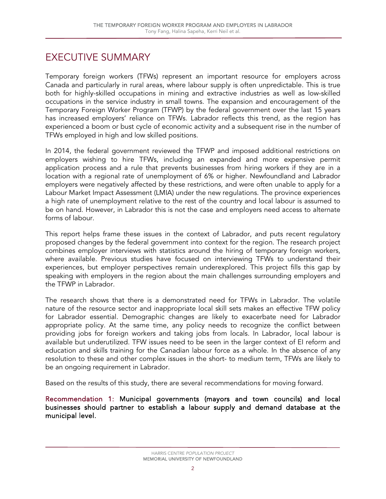## EXECUTIVE SUMMARY

Temporary foreign workers (TFWs) represent an important resource for employers across Canada and particularly in rural areas, where labour supply is often unpredictable. This is true both for highly-skilled occupations in mining and extractive industries as well as low-skilled occupations in the service industry in small towns. The expansion and encouragement of the Temporary Foreign Worker Program (TFWP) by the federal government over the last 15 years has increased employers' reliance on TFWs. Labrador reflects this trend, as the region has experienced a boom or bust cycle of economic activity and a subsequent rise in the number of TFWs employed in high and low skilled positions.

In 2014, the federal government reviewed the TFWP and imposed additional restrictions on employers wishing to hire TFWs, including an expanded and more expensive permit application process and a rule that prevents businesses from hiring workers if they are in a location with a regional rate of unemployment of 6% or higher. Newfoundland and Labrador employers were negatively affected by these restrictions, and were often unable to apply for a Labour Market Impact Assessment (LMIA) under the new regulations. The province experiences a high rate of unemployment relative to the rest of the country and local labour is assumed to be on hand. However, in Labrador this is not the case and employers need access to alternate forms of labour.

This report helps frame these issues in the context of Labrador, and puts recent regulatory proposed changes by the federal government into context for the region. The research project combines employer interviews with statistics around the hiring of temporary foreign workers, where available. Previous studies have focused on interviewing TFWs to understand their experiences, but employer perspectives remain underexplored. This project fills this gap by speaking with employers in the region about the main challenges surrounding employers and the TFWP in Labrador.

The research shows that there is a demonstrated need for TFWs in Labrador. The volatile nature of the resource sector and inappropriate local skill sets makes an effective TFW policy for Labrador essential. Demographic changes are likely to exacerbate need for Labrador appropriate policy. At the same time, any policy needs to recognize the conflict between providing jobs for foreign workers and taking jobs from locals. In Labrador, local labour is available but underutilized. TFW issues need to be seen in the larger context of EI reform and education and skills training for the Canadian labour force as a whole. In the absence of any resolution to these and other complex issues in the short- to medium term, TFWs are likely to be an ongoing requirement in Labrador.

Based on the results of this study, there are several recommendations for moving forward.

Recommendation 1: Municipal governments (mayors and town councils) and local businesses should partner to establish a labour supply and demand database at the municipal level.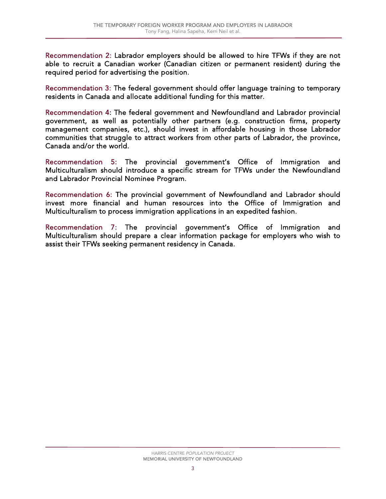Recommendation 2: Labrador employers should be allowed to hire TFWs if they are not able to recruit a Canadian worker (Canadian citizen or permanent resident) during the required period for advertising the position.

Recommendation 3: The federal government should offer language training to temporary residents in Canada and allocate additional funding for this matter.

Recommendation 4: The federal government and Newfoundland and Labrador provincial government, as well as potentially other partners (e.g. construction firms, property management companies, etc.), should invest in affordable housing in those Labrador communities that struggle to attract workers from other parts of Labrador, the province, Canada and/or the world.

Recommendation 5: The provincial government's Office of Immigration and Multiculturalism should introduce a specific stream for TFWs under the Newfoundland and Labrador Provincial Nominee Program.

Recommendation 6: The provincial government of Newfoundland and Labrador should invest more financial and human resources into the Office of Immigration and Multiculturalism to process immigration applications in an expedited fashion.

Recommendation 7: The provincial government's Office of Immigration and Multiculturalism should prepare a clear information package for employers who wish to assist their TFWs seeking permanent residency in Canada.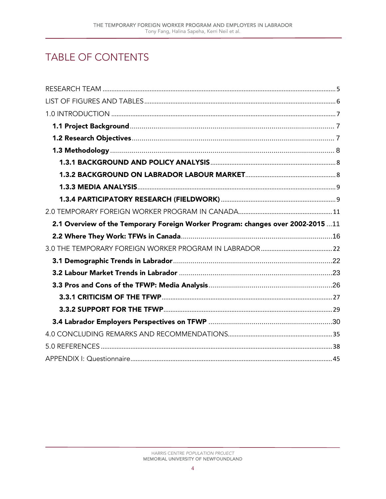## **TABLE OF CONTENTS**

| 2.1 Overview of the Temporary Foreign Worker Program: changes over 2002-2015 11 |  |
|---------------------------------------------------------------------------------|--|
|                                                                                 |  |
|                                                                                 |  |
|                                                                                 |  |
|                                                                                 |  |
|                                                                                 |  |
|                                                                                 |  |
|                                                                                 |  |
|                                                                                 |  |
|                                                                                 |  |
|                                                                                 |  |
|                                                                                 |  |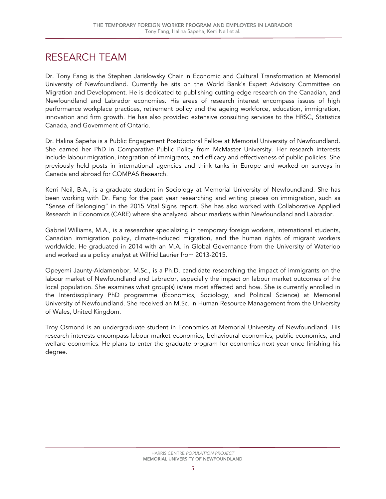## <span id="page-6-0"></span>RESEARCH TEAM

Dr. Tony Fang is the Stephen Jarislowsky Chair in Economic and Cultural Transformation at Memorial University of Newfoundland. Currently he sits on the World Bank's Expert Advisory Committee on Migration and Development. He is dedicated to publishing cutting-edge research on the Canadian, and Newfoundland and Labrador economies. His areas of research interest encompass issues of high performance workplace practices, retirement policy and the ageing workforce, education, immigration, innovation and firm growth. He has also provided extensive consulting services to the HRSC, Statistics Canada, and Government of Ontario.

Dr. Halina Sapeha is a Public Engagement Postdoctoral Fellow at Memorial University of Newfoundland. She earned her PhD in Comparative Public Policy from McMaster University. Her research interests include labour migration, integration of immigrants, and efficacy and effectiveness of public policies. She previously held posts in international agencies and think tanks in Europe and worked on surveys in Canada and abroad for COMPAS Research.

Kerri Neil, B.A., is a graduate student in Sociology at Memorial University of Newfoundland. She has been working with Dr. Fang for the past year researching and writing pieces on immigration, such as "Sense of Belonging" in the 2015 Vital Signs report. She has also worked with Collaborative Applied Research in Economics (CARE) where she analyzed labour markets within Newfoundland and Labrador.

Gabriel Williams, M.A., is a researcher specializing in temporary foreign workers, international students, Canadian immigration policy, climate-induced migration, and the human rights of migrant workers worldwide. He graduated in 2014 with an M.A. in Global Governance from the University of Waterloo and worked as a policy analyst at Wilfrid Laurier from 2013-2015.

Opeyemi Jaunty-Aidamenbor, M.Sc., is a Ph.D. candidate researching the impact of immigrants on the labour market of Newfoundland and Labrador, especially the impact on labour market outcomes of the local population. She examines what group(s) is/are most affected and how. She is currently enrolled in the Interdisciplinary PhD programme (Economics, Sociology, and Political Science) at Memorial University of Newfoundland. She received an M.Sc. in Human Resource Management from the University of Wales, United Kingdom.

Troy Osmond is an undergraduate student in Economics at Memorial University of Newfoundland. His research interests encompass labour market economics, behavioural economics, public economics, and welfare economics. He plans to enter the graduate program for economics next year once finishing his degree.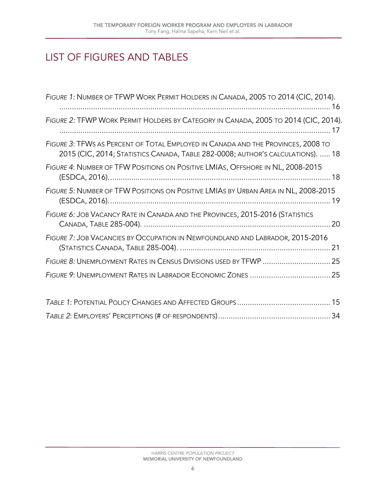## <span id="page-7-0"></span>LIST OF FIGURES AND TABLES

| FIGURE 1: NUMBER OF TFWP WORK PERMIT HOLDERS IN CANADA, 2005 TO 2014 (CIC, 2014).                                                                                   |  |
|---------------------------------------------------------------------------------------------------------------------------------------------------------------------|--|
| FIGURE 2: TFWP WORK PERMIT HOLDERS BY CATEGORY IN CANADA, 2005 TO 2014 (CIC, 2014).                                                                                 |  |
| FIGURE 3: TFWS AS PERCENT OF TOTAL EMPLOYED IN CANADA AND THE PROVINCES, 2008 TO<br>2015 (CIC, 2014; STATISTICS CANADA, TABLE 282-0008; AUTHOR'S CALCULATIONS).  18 |  |
| FIGURE 4: NUMBER OF TFW POSITIONS ON POSITIVE LMIAS, OFFSHORE IN NL, 2008-2015                                                                                      |  |
| FIGURE 5: NUMBER OF TFW POSITIONS ON POSITIVE LMIAS BY URBAN AREA IN NL, 2008-2015                                                                                  |  |
| FIGURE 6: JOB VACANCY RATE IN CANADA AND THE PROVINCES, 2015-2016 (STATISTICS                                                                                       |  |
| FIGURE 7: JOB VACANCIES BY OCCUPATION IN NEWFOUNDLAND AND LABRADOR, 2015-2016                                                                                       |  |
| FIGURE 8: UNEMPLOYMENT RATES IN CENSUS DIVISIONS USED BY TFWP  25                                                                                                   |  |
|                                                                                                                                                                     |  |
|                                                                                                                                                                     |  |
|                                                                                                                                                                     |  |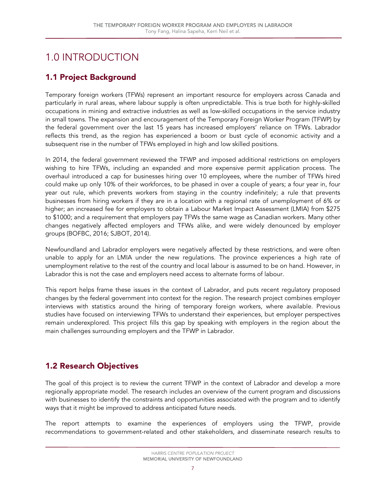## <span id="page-8-0"></span>1.0 INTRODUCTION

## <span id="page-8-1"></span>1.1 Project Background

Temporary foreign workers (TFWs) represent an important resource for employers across Canada and particularly in rural areas, where labour supply is often unpredictable. This is true both for highly-skilled occupations in mining and extractive industries as well as low-skilled occupations in the service industry in small towns. The expansion and encouragement of the Temporary Foreign Worker Program (TFWP) by the federal government over the last 15 years has increased employers' reliance on TFWs. Labrador reflects this trend, as the region has experienced a boom or bust cycle of economic activity and a subsequent rise in the number of TFWs employed in high and low skilled positions.

In 2014, the federal government reviewed the TFWP and imposed additional restrictions on employers wishing to hire TFWs, including an expanded and more expensive permit application process. The overhaul introduced a cap for businesses hiring over 10 employees, where the number of TFWs hired could make up only 10% of their workforces, to be phased in over a couple of years; a four year in, four year out rule, which prevents workers from staying in the country indefinitely; a rule that prevents businesses from hiring workers if they are in a location with a regional rate of unemployment of 6% or higher; an increased fee for employers to obtain a Labour Market Impact Assessment (LMIA) from \$275 to \$1000; and a requirement that employers pay TFWs the same wage as Canadian workers. Many other changes negatively affected employers and TFWs alike, and were widely denounced by employer groups (BOFBC, 2016; SJBOT, 2014).

Newfoundland and Labrador employers were negatively affected by these restrictions, and were often unable to apply for an LMIA under the new regulations. The province experiences a high rate of unemployment relative to the rest of the country and local labour is assumed to be on hand. However, in Labrador this is not the case and employers need access to alternate forms of labour.

This report helps frame these issues in the context of Labrador, and puts recent regulatory proposed changes by the federal government into context for the region. The research project combines employer interviews with statistics around the hiring of temporary foreign workers, where available. Previous studies have focused on interviewing TFWs to understand their experiences, but employer perspectives remain underexplored. This project fills this gap by speaking with employers in the region about the main challenges surrounding employers and the TFWP in Labrador.

## <span id="page-8-2"></span>1.2 Research Objectives

The goal of this project is to review the current TFWP in the context of Labrador and develop a more regionally appropriate model. The research includes an overview of the current program and discussions with businesses to identify the constraints and opportunities associated with the program and to identify ways that it might be improved to address anticipated future needs.

The report attempts to examine the experiences of employers using the TFWP, provide recommendations to government-related and other stakeholders, and disseminate research results to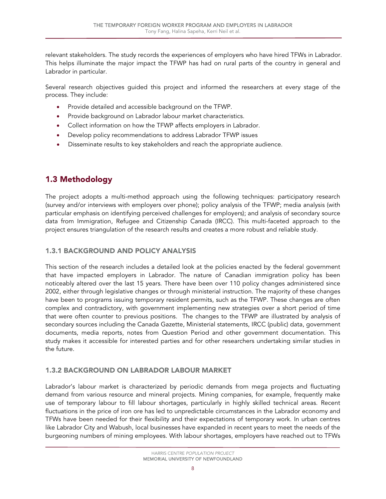relevant stakeholders. The study records the experiences of employers who have hired TFWs in Labrador. This helps illuminate the major impact the TFWP has had on rural parts of the country in general and Labrador in particular.

Several research objectives guided this project and informed the researchers at every stage of the process. They include:

- Provide detailed and accessible background on the TFWP.
- Provide background on Labrador labour market characteristics.
- Collect information on how the TFWP affects employers in Labrador.
- Develop policy recommendations to address Labrador TFWP issues
- Disseminate results to key stakeholders and reach the appropriate audience.

## <span id="page-9-0"></span>1.3 Methodology

The project adopts a multi-method approach using the following techniques: participatory research (survey and/or interviews with employers over phone); policy analysis of the TFWP; media analysis (with particular emphasis on identifying perceived challenges for employers); and analysis of secondary source data from Immigration, Refugee and Citizenship Canada (IRCC). This multi-faceted approach to the project ensures triangulation of the research results and creates a more robust and reliable study.

## <span id="page-9-1"></span>1.3.1 BACKGROUND AND POLICY ANALYSIS

This section of the research includes a detailed look at the policies enacted by the federal government that have impacted employers in Labrador. The nature of Canadian immigration policy has been noticeably altered over the last 15 years. There have been over 110 policy changes administered since 2002, either through legislative changes or through ministerial instruction. The majority of these changes have been to programs issuing temporary resident permits, such as the TFWP. These changes are often complex and contradictory, with government implementing new strategies over a short period of time that were often counter to previous positions. The changes to the TFWP are illustrated by analysis of secondary sources including the Canada Gazette, Ministerial statements, IRCC (public) data, government documents, media reports, notes from Question Period and other government documentation. This study makes it accessible for interested parties and for other researchers undertaking similar studies in the future.

## <span id="page-9-2"></span>1.3.2 BACKGROUND ON LABRADOR LABOUR MARKET

Labrador's labour market is characterized by periodic demands from mega projects and fluctuating demand from various resource and mineral projects. Mining companies, for example, frequently make use of temporary labour to fill labour shortages, particularly in highly skilled technical areas. Recent fluctuations in the price of iron ore has led to unpredictable circumstances in the Labrador economy and TFWs have been needed for their flexibility and their expectations of temporary work. In urban centres like Labrador City and Wabush, local businesses have expanded in recent years to meet the needs of the burgeoning numbers of mining employees. With labour shortages, employers have reached out to TFWs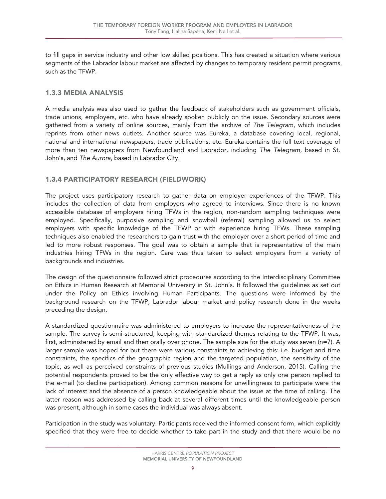to fill gaps in service industry and other low skilled positions. This has created a situation where various segments of the Labrador labour market are affected by changes to temporary resident permit programs, such as the TFWP.

#### <span id="page-10-0"></span>1.3.3 MEDIA ANALYSIS

A media analysis was also used to gather the feedback of stakeholders such as government officials, trade unions, employers, etc. who have already spoken publicly on the issue. Secondary sources were gathered from a variety of online sources, mainly from the archive of *The Telegram*, which includes reprints from other news outlets. Another source was Eureka, a database covering local, regional, national and international newspapers, trade publications, etc. Eureka contains the full text coverage of more than ten newspapers from Newfoundland and Labrador, including *The Telegram*, based in St. John's, and *The Aurora*, based in Labrador City.

#### <span id="page-10-1"></span>1.3.4 PARTICIPATORY RESEARCH (FIELDWORK)

The project uses participatory research to gather data on employer experiences of the TFWP. This includes the collection of data from employers who agreed to interviews. Since there is no known accessible database of employers hiring TFWs in the region, non-random sampling techniques were employed. Specifically, purposive sampling and snowball (referral) sampling allowed us to select employers with specific knowledge of the TFWP or with experience hiring TFWs. These sampling techniques also enabled the researchers to gain trust with the employer over a short period of time and led to more robust responses. The goal was to obtain a sample that is representative of the main industries hiring TFWs in the region. Care was thus taken to select employers from a variety of backgrounds and industries.

The design of the questionnaire followed strict procedures according to the Interdisciplinary Committee on Ethics in Human Research at Memorial University in St. John's. It followed the guidelines as set out under the Policy on Ethics involving Human Participants. The questions were informed by the background research on the TFWP, Labrador labour market and policy research done in the weeks preceding the design.

A standardized questionnaire was administered to employers to increase the representativeness of the sample. The survey is semi-structured, keeping with standardized themes relating to the TFWP. It was, first, administered by email and then orally over phone. The sample size for the study was seven (n=7). A larger sample was hoped for but there were various constraints to achieving this: i.e. budget and time constraints, the specifics of the geographic region and the targeted population, the sensitivity of the topic, as well as perceived constraints of previous studies (Mullings and Anderson, 2015). Calling the potential respondents proved to be the only effective way to get a reply as only one person replied to the e-mail (to decline participation). Among common reasons for unwillingness to participate were the lack of interest and the absence of a person knowledgeable about the issue at the time of calling. The latter reason was addressed by calling back at several different times until the knowledgeable person was present, although in some cases the individual was always absent.

Participation in the study was voluntary. Participants received the informed consent form, which explicitly specified that they were free to decide whether to take part in the study and that there would be no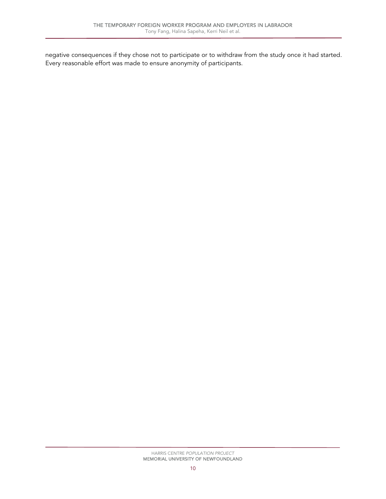negative consequences if they chose not to participate or to withdraw from the study once it had started. Every reasonable effort was made to ensure anonymity of participants.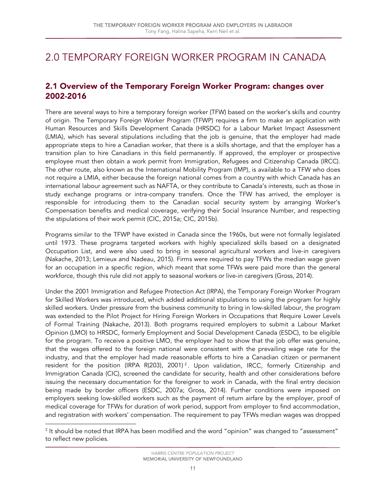## <span id="page-12-0"></span>2.0 TEMPORARY FOREIGN WORKER PROGRAM IN CANADA

## <span id="page-12-1"></span>2.1 Overview of the Temporary Foreign Worker Program: changes over 2002-2016

There are several ways to hire a temporary foreign worker (TFW) based on the worker's skills and country of origin. The Temporary Foreign Worker Program (TFWP) requires a firm to make an application with Human Resources and Skills Development Canada (HRSDC) for a Labour Market Impact Assessment (LMIA), which has several stipulations including that the job is genuine, that the employer had made appropriate steps to hire a Canadian worker, that there is a skills shortage, and that the employer has a transition plan to hire Canadians in this field permanently. If approved, the employer or prospective employee must then obtain a work permit from Immigration, Refugees and Citizenship Canada (IRCC). The other route, also known as the International Mobility Program (IMP), is available to a TFW who does not require a LMIA, either because the foreign national comes from a country with which Canada has an international labour agreement such as NAFTA, or they contribute to Canada's interests, such as those in study exchange programs or intra-company transfers. Once the TFW has arrived, the employer is responsible for introducing them to the Canadian social security system by arranging Worker's Compensation benefits and medical coverage, verifying their Social Insurance Number, and respecting the stipulations of their work permit (CIC, 2015a; CIC, 2015b).

Programs similar to the TFWP have existed in Canada since the 1960s, but were not formally legislated until 1973. These programs targeted workers with highly specialized skills based on a designated Occupation List, and were also used to bring in seasonal agricultural workers and live-in caregivers (Nakache, 2013; Lemieux and Nadeau, 2015). Firms were required to pay TFWs the median wage given for an occupation in a specific region, which meant that some TFWs were paid more than the general workforce, though this rule did not apply to seasonal workers or live-in caregivers (Gross, 2014).

Under the 2001 Immigration and Refugee Protection Act (IRPA), the Temporary Foreign Worker Program for Skilled Workers was introduced, which added additional stipulations to using the program for highly skilled workers. Under pressure from the business community to bring in low-skilled labour, the program was extended to the Pilot Project for Hiring Foreign Workers in Occupations that Require Lower Levels of Formal Training (Nakache, 2013). Both programs required employers to submit a Labour Market Opinion (LMO) to HRSDC, formerly Employment and Social Development Canada (ESDC), to be eligible for the program. To receive a positive LMO, the employer had to show that the job offer was genuine, that the wages offered to the foreign national were consistent with the prevailing wage rate for the industry, and that the employer had made reasonable efforts to hire a Canadian citizen or permanent resident for the position (IRPA R([2](#page-12-2)03), 2001)<sup>2</sup>. Upon validation, IRCC, formerly Citizenship and Immigration Canada (CIC), screened the candidate for security, health and other considerations before issuing the necessary documentation for the foreigner to work in Canada, with the final entry decision being made by border officers (ESDC, 2007a; Gross, 2014). Further conditions were imposed on employers seeking low-skilled workers such as the payment of return airfare by the employer, proof of medical coverage for TFWs for duration of work period, support from employer to find accommodation, and registration with workers' compensation. The requirement to pay TFWs median wages was dropped

<span id="page-12-2"></span>l  $2$  It should be noted that IRPA has been modified and the word "opinion" was changed to "assessment" to reflect new policies.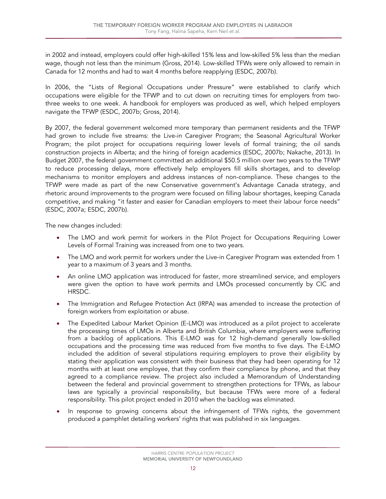in 2002 and instead, employers could offer high-skilled 15% less and low-skilled 5% less than the median wage, though not less than the minimum (Gross, 2014). Low-skilled TFWs were only allowed to remain in Canada for 12 months and had to wait 4 months before reapplying (ESDC, 2007b).

In 2006, the "Lists of Regional Occupations under Pressure" were established to clarify which occupations were eligible for the TFWP and to cut down on recruiting times for employers from twothree weeks to one week. A handbook for employers was produced as well, which helped employers navigate the TFWP (ESDC, 2007b; Gross, 2014).

By 2007, the federal government welcomed more temporary than permanent residents and the TFWP had grown to include five streams: the Live-in Caregiver Program; the Seasonal Agricultural Worker Program; the pilot project for occupations requiring lower levels of formal training; the oil sands construction projects in Alberta; and the hiring of foreign academics (ESDC, 2007b; Nakache, 2013). In Budget 2007, the federal government committed an additional \$50.5 million over two years to the TFWP to reduce processing delays, more effectively help employers fill skills shortages, and to develop mechanisms to monitor employers and address instances of non-compliance. These changes to the TFWP were made as part of the new Conservative government's Advantage Canada strategy, and rhetoric around improvements to the program were focused on filling labour shortages, keeping Canada competitive, and making "it faster and easier for Canadian employers to meet their labour force needs" (ESDC, 2007a; ESDC, 2007b).

The new changes included:

- The LMO and work permit for workers in the Pilot Project for Occupations Requiring Lower Levels of Formal Training was increased from one to two years.
- The LMO and work permit for workers under the Live-in Caregiver Program was extended from 1 year to a maximum of 3 years and 3 months.
- An online LMO application was introduced for faster, more streamlined service, and employers were given the option to have work permits and LMOs processed concurrently by CIC and HRSDC.
- The Immigration and Refugee Protection Act (IRPA) was amended to increase the protection of foreign workers from exploitation or abuse.
- The Expedited Labour Market Opinion (E-LMO) was introduced as a pilot project to accelerate the processing times of LMOs in Alberta and British Columbia, where employers were suffering from a backlog of applications. This E-LMO was for 12 high-demand generally low-skilled occupations and the processing time was reduced from five months to five days. The E-LMO included the addition of several stipulations requiring employers to prove their eligibility by stating their application was consistent with their business that they had been operating for 12 months with at least one employee, that they confirm their compliance by phone, and that they agreed to a compliance review. The project also included a Memorandum of Understanding between the federal and provincial government to strengthen protections for TFWs, as labour laws are typically a provincial responsibility, but because TFWs were more of a federal responsibility. This pilot project ended in 2010 when the backlog was eliminated.
- In response to growing concerns about the infringement of TFWs rights, the government produced a pamphlet detailing workers' rights that was published in six languages.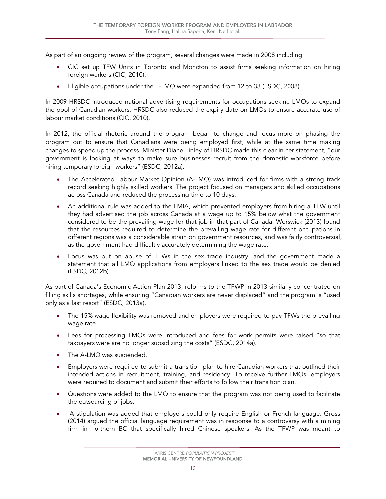As part of an ongoing review of the program, several changes were made in 2008 including:

- CIC set up TFW Units in Toronto and Moncton to assist firms seeking information on hiring foreign workers (CIC, 2010).
- Eligible occupations under the E-LMO were expanded from 12 to 33 (ESDC, 2008).

In 2009 HRSDC introduced national advertising requirements for occupations seeking LMOs to expand the pool of Canadian workers. HRSDC also reduced the expiry date on LMOs to ensure accurate use of labour market conditions (CIC, 2010).

In 2012, the official rhetoric around the program began to change and focus more on phasing the program out to ensure that Canadians were being employed first, while at the same time making changes to speed up the process. Minister Diane Finley of HRSDC made this clear in her statement, "our government is looking at ways to make sure businesses recruit from the domestic workforce before hiring temporary foreign workers" (ESDC, 2012a).

- The Accelerated Labour Market Opinion (A-LMO) was introduced for firms with a strong track record seeking highly skilled workers. The project focused on managers and skilled occupations across Canada and reduced the processing time to 10 days.
- An additional rule was added to the LMIA, which prevented employers from hiring a TFW until they had advertised the job across Canada at a wage up to 15% below what the government considered to be the prevailing wage for that job in that part of Canada. Worswick (2013) found that the resources required to determine the prevailing wage rate for different occupations in different regions was a considerable strain on government resources, and was fairly controversial, as the government had difficultly accurately determining the wage rate.
- Focus was put on abuse of TFWs in the sex trade industry, and the government made a statement that all LMO applications from employers linked to the sex trade would be denied (ESDC, 2012b).

As part of Canada's Economic Action Plan 2013, reforms to the TFWP in 2013 similarly concentrated on filling skills shortages, while ensuring "Canadian workers are never displaced" and the program is "used only as a last resort" (ESDC, 2013a).

- The 15% wage flexibility was removed and employers were required to pay TFWs the prevailing wage rate.
- Fees for processing LMOs were introduced and fees for work permits were raised "so that taxpayers were are no longer subsidizing the costs" (ESDC, 2014a).
- The A-LMO was suspended.
- Employers were required to submit a transition plan to hire Canadian workers that outlined their intended actions in recruitment, training, and residency. To receive further LMOs, employers were required to document and submit their efforts to follow their transition plan.
- Questions were added to the LMO to ensure that the program was not being used to facilitate the outsourcing of jobs.
- A stipulation was added that employers could only require English or French language. Gross (2014) argued the official language requirement was in response to a controversy with a mining firm in northern BC that specifically hired Chinese speakers. As the TFWP was meant to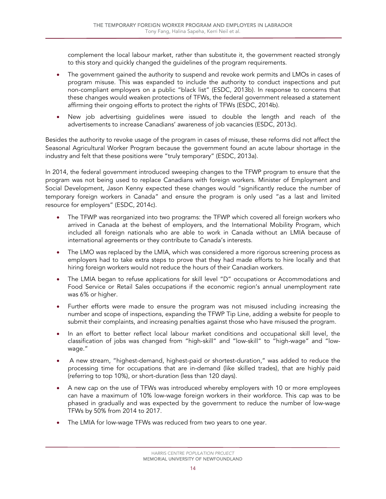complement the local labour market, rather than substitute it, the government reacted strongly to this story and quickly changed the guidelines of the program requirements.

- The government gained the authority to suspend and revoke work permits and LMOs in cases of program misuse. This was expanded to include the authority to conduct inspections and put non-compliant employers on a public "black list" (ESDC, 2013b). In response to concerns that these changes would weaken protections of TFWs, the federal government released a statement affirming their ongoing efforts to protect the rights of TFWs (ESDC, 2014b).
- New job advertising guidelines were issued to double the length and reach of the advertisements to increase Canadians' awareness of job vacancies (ESDC, 2013c).

Besides the authority to revoke usage of the program in cases of misuse, these reforms did not affect the Seasonal Agricultural Worker Program because the government found an acute labour shortage in the industry and felt that these positions were "truly temporary" (ESDC, 2013a).

In 2014, the federal government introduced sweeping changes to the TFWP program to ensure that the program was not being used to replace Canadians with foreign workers. Minister of Employment and Social Development, Jason Kenny expected these changes would "significantly reduce the number of temporary foreign workers in Canada" and ensure the program is only used "as a last and limited resource for employers" (ESDC, 2014c).

- The TFWP was reorganized into two programs: the TFWP which covered all foreign workers who arrived in Canada at the behest of employers, and the International Mobility Program, which included all foreign nationals who are able to work in Canada without an LMIA because of international agreements or they contribute to Canada's interests.
- The LMO was replaced by the LMIA, which was considered a more rigorous screening process as employers had to take extra steps to prove that they had made efforts to hire locally and that hiring foreign workers would not reduce the hours of their Canadian workers.
- The LMIA began to refuse applications for skill level "D" occupations or Accommodations and Food Service or Retail Sales occupations if the economic region's annual unemployment rate was 6% or higher.
- Further efforts were made to ensure the program was not misused including increasing the number and scope of inspections, expanding the TFWP Tip Line, adding a website for people to submit their complaints, and increasing penalties against those who have misused the program.
- In an effort to better reflect local labour market conditions and occupational skill level, the classification of jobs was changed from "high-skill" and "low-skill" to "high-wage" and "lowwage."
- A new stream, "highest-demand, highest-paid or shortest-duration," was added to reduce the processing time for occupations that are in-demand (like skilled trades), that are highly paid (referring to top 10%), or short-duration (less than 120 days).
- A new cap on the use of TFWs was introduced whereby employers with 10 or more employees can have a maximum of 10% low-wage foreign workers in their workforce. This cap was to be phased in gradually and was expected by the government to reduce the number of low-wage TFWs by 50% from 2014 to 2017.
- The LMIA for low-wage TFWs was reduced from two years to one year.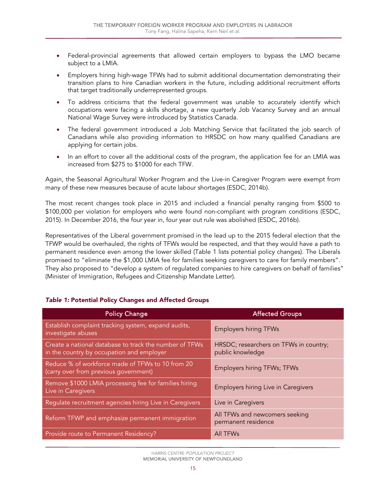- Federal-provincial agreements that allowed certain employers to bypass the LMO became subject to a LMIA.
- Employers hiring high-wage TFWs had to submit additional documentation demonstrating their transition plans to hire Canadian workers in the future, including additional recruitment efforts that target traditionally underrepresented groups.
- To address criticisms that the federal government was unable to accurately identify which occupations were facing a skills shortage, a new quarterly Job Vacancy Survey and an annual National Wage Survey were introduced by Statistics Canada.
- The federal government introduced a Job Matching Service that facilitated the job search of Canadians while also providing information to HRSDC on how many qualified Canadians are applying for certain jobs.
- In an effort to cover all the additional costs of the program, the application fee for an LMIA was increased from \$275 to \$1000 for each TFW.

Again, the Seasonal Agricultural Worker Program and the Live-in Caregiver Program were exempt from many of these new measures because of acute labour shortages (ESDC, 2014b).

The most recent changes took place in 2015 and included a financial penalty ranging from \$500 to \$100,000 per violation for employers who were found non-compliant with program conditions (ESDC, 2015). In December 2016, the four year in, four year out rule was abolished (ESDC, 2016b).

Representatives of the Liberal government promised in the lead up to the 2015 federal election that the TFWP would be overhauled, the rights of TFWs would be respected, and that they would have a path to permanent residence even among the lower skilled (Table 1 lists potential policy changes). The Liberals promised to "eliminate the \$1,000 LMIA fee for families seeking caregivers to care for family members". They also proposed to "develop a system of regulated companies to hire caregivers on behalf of families" (Minister of Immigration, Refugees and Citizenship Mandate Letter).

| <b>Policy Change</b>                                                                                | <b>Affected Groups</b>                                     |
|-----------------------------------------------------------------------------------------------------|------------------------------------------------------------|
| Establish complaint tracking system, expand audits,<br>investigate abuses                           | <b>Employers hiring TFWs</b>                               |
| Create a national database to track the number of TFWs<br>in the country by occupation and employer | HRSDC; researchers on TFWs in country;<br>public knowledge |
| Reduce % of workforce made of TFWs to 10 from 20<br>(carry over from previous government)           | Employers hiring TFWs; TFWs                                |
| Remove \$1000 LMIA processing fee for families hiring<br>Live in Caregivers                         | Employers hiring Live in Caregivers                        |
| Regulate recruitment agencies hiring Live in Caregivers                                             | Live in Caregivers                                         |
| Reform TFWP and emphasize permanent immigration                                                     | All TFWs and newcomers seeking<br>permanent residence      |
| Provide route to Permanent Residency?                                                               | <b>All TFWs</b>                                            |

#### <span id="page-16-0"></span>*Table 1:* Potential Policy Changes and Affected Groups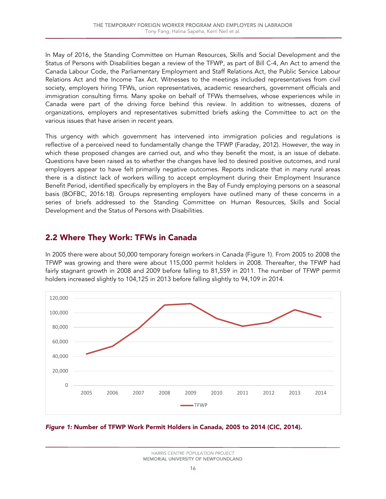In May of 2016, the Standing Committee on Human Resources, Skills and Social Development and the Status of Persons with Disabilities began a review of the TFWP, as part of Bill C-4, An Act to amend the Canada Labour Code, the Parliamentary Employment and Staff Relations Act, the Public Service Labour Relations Act and the Income Tax Act. Witnesses to the meetings included representatives from civil society, employers hiring TFWs, union representatives, academic researchers, government officials and immigration consulting firms. Many spoke on behalf of TFWs themselves, whose experiences while in Canada were part of the driving force behind this review. In addition to witnesses, dozens of organizations, employers and representatives submitted briefs asking the Committee to act on the various issues that have arisen in recent years.

This urgency with which government has intervened into immigration policies and regulations is reflective of a perceived need to fundamentally change the TFWP (Faraday, 2012). However, the way in which these proposed changes are carried out, and who they benefit the most, is an issue of debate. Questions have been raised as to whether the changes have led to desired positive outcomes, and rural employers appear to have felt primarily negative outcomes. Reports indicate that in many rural areas there is a distinct lack of workers willing to accept employment during their Employment Insurance Benefit Period, identified specifically by employers in the Bay of Fundy employing persons on a seasonal basis (BOFBC, 2016:18). Groups representing employers have outlined many of these concerns in a series of briefs addressed to the Standing Committee on Human Resources, Skills and Social Development and the Status of Persons with Disabilities.

## <span id="page-17-0"></span>2.2 Where They Work: TFWs in Canada

In 2005 there were about 50,000 temporary foreign workers in Canada (Figure 1). From 2005 to 2008 the TFWP was growing and there were about 115,000 permit holders in 2008. Thereafter, the TFWP had fairly stagnant growth in 2008 and 2009 before falling to 81,559 in 2011. The number of TFWP permit holders increased slightly to 104,125 in 2013 before falling slightly to 94,109 in 2014.



<span id="page-17-1"></span>*Figure 1:* Number of TFWP Work Permit Holders in Canada, 2005 to 2014 (CIC, 2014).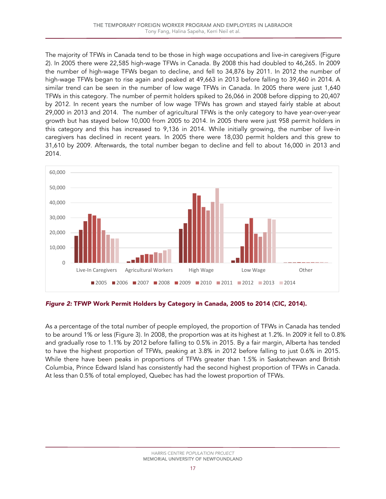The majority of TFWs in Canada tend to be those in high wage occupations and live-in caregivers (Figure 2). In 2005 there were 22,585 high-wage TFWs in Canada. By 2008 this had doubled to 46,265. In 2009 the number of high-wage TFWs began to decline, and fell to 34,876 by 2011. In 2012 the number of high-wage TFWs began to rise again and peaked at 49,663 in 2013 before falling to 39,460 in 2014. A similar trend can be seen in the number of low wage TFWs in Canada. In 2005 there were just 1,640 TFWs in this category. The number of permit holders spiked to 26,066 in 2008 before dipping to 20,407 by 2012. In recent years the number of low wage TFWs has grown and stayed fairly stable at about 29,000 in 2013 and 2014. The number of agricultural TFWs is the only category to have year-over-year growth but has stayed below 10,000 from 2005 to 2014. In 2005 there were just 958 permit holders in this category and this has increased to 9,136 in 2014. While initially growing, the number of live-in caregivers has declined in recent years. In 2005 there were 18,030 permit holders and this grew to 31,610 by 2009. Afterwards, the total number began to decline and fell to about 16,000 in 2013 and 2014.



<span id="page-18-0"></span>*Figure 2:* TFWP Work Permit Holders by Category in Canada, 2005 to 2014 (CIC, 2014).

As a percentage of the total number of people employed, the proportion of TFWs in Canada has tended to be around 1% or less (Figure 3). In 2008, the proportion was at its highest at 1.2%. In 2009 it fell to 0.8% and gradually rose to 1.1% by 2012 before falling to 0.5% in 2015. By a fair margin, Alberta has tended to have the highest proportion of TFWs, peaking at 3.8% in 2012 before falling to just 0.6% in 2015. While there have been peaks in proportions of TFWs greater than 1.5% in Saskatchewan and British Columbia, Prince Edward Island has consistently had the second highest proportion of TFWs in Canada. At less than 0.5% of total employed, Quebec has had the lowest proportion of TFWs.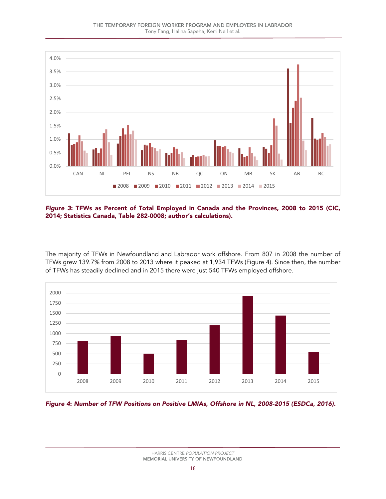THE TEMPORARY FOREIGN WORKER PROGRAM AND EMPLOYERS IN LABRADOR





<span id="page-19-0"></span>*Figure 3*: TFWs as Percent of Total Employed in Canada and the Provinces, 2008 to 2015 (CIC, 2014; Statistics Canada, Table 282-0008; author's calculations).

The majority of TFWs in Newfoundland and Labrador work offshore. From 807 in 2008 the number of TFWs grew 139.7% from 2008 to 2013 where it peaked at 1,934 TFWs (Figure 4). Since then, the number of TFWs has steadily declined and in 2015 there were just 540 TFWs employed offshore.



<span id="page-19-1"></span>*Figure 4*: *Number of TFW Positions on Positive LMIAs, Offshore in NL, 2008-2015 (ESDCa, 2016).*

HARRIS CENTRE *POPULATION PROJECT* MEMORIAL UNIVERSITY OF NEWFOUNDLAND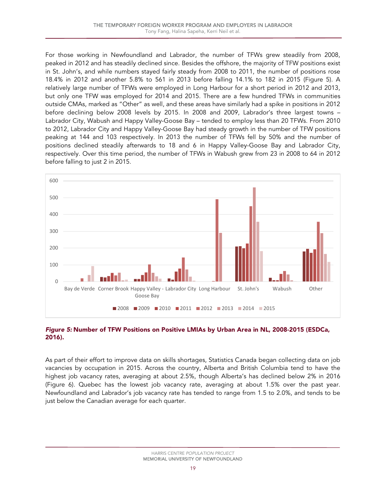For those working in Newfoundland and Labrador, the number of TFWs grew steadily from 2008, peaked in 2012 and has steadily declined since. Besides the offshore, the majority of TFW positions exist in St. John's, and while numbers stayed fairly steady from 2008 to 2011, the number of positions rose 18.4% in 2012 and another 5.8% to 561 in 2013 before falling 14.1% to 182 in 2015 (Figure 5). A relatively large number of TFWs were employed in Long Harbour for a short period in 2012 and 2013, but only one TFW was employed for 2014 and 2015. There are a few hundred TFWs in communities outside CMAs, marked as "Other" as well, and these areas have similarly had a spike in positions in 2012 before declining below 2008 levels by 2015. In 2008 and 2009, Labrador's three largest towns – Labrador City, Wabush and Happy Valley-Goose Bay – tended to employ less than 20 TFWs. From 2010 to 2012, Labrador City and Happy Valley-Goose Bay had steady growth in the number of TFW positions peaking at 144 and 103 respectively. In 2013 the number of TFWs fell by 50% and the number of positions declined steadily afterwards to 18 and 6 in Happy Valley-Goose Bay and Labrador City, respectively. Over this time period, the number of TFWs in Wabush grew from 23 in 2008 to 64 in 2012 before falling to just 2 in 2015.



#### <span id="page-20-0"></span>*Figure 5:* Number of TFW Positions on Positive LMIAs by Urban Area in NL, 2008-2015 (ESDCa, 2016).

As part of their effort to improve data on skills shortages, Statistics Canada began collecting data on job vacancies by occupation in 2015. Across the country, Alberta and British Columbia tend to have the highest job vacancy rates, averaging at about 2.5%, though Alberta's has declined below 2% in 2016 (Figure 6). Quebec has the lowest job vacancy rate, averaging at about 1.5% over the past year. Newfoundland and Labrador's job vacancy rate has tended to range from 1.5 to 2.0%, and tends to be just below the Canadian average for each quarter.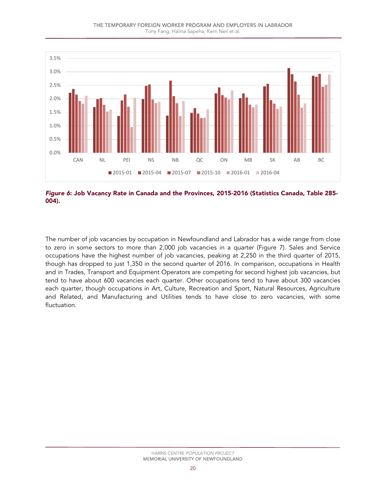#### THE TEMPORARY FOREIGN WORKER PROGRAM AND EMPLOYERS IN LABRADOR Tony Fang, Halina Sapeha, Kerri Neil et al.



<span id="page-21-0"></span>*Figure 6*: Job Vacancy Rate in Canada and the Provinces, 2015-2016 (Statistics Canada, Table 285- 004).

The number of job vacancies by occupation in Newfoundland and Labrador has a wide range from close to zero in some sectors to more than 2,000 job vacancies in a quarter (Figure 7). Sales and Service occupations have the highest number of job vacancies, peaking at 2,250 in the third quarter of 2015, though has dropped to just 1,350 in the second quarter of 2016. In comparison, occupations in Health and in Trades, Transport and Equipment Operators are competing for second highest job vacancies, but tend to have about 600 vacancies each quarter. Other occupations tend to have about 300 vacancies each quarter, though occupations in Art, Culture, Recreation and Sport, Natural Resources, Agriculture and Related, and Manufacturing and Utilities tends to have close to zero vacancies, with some fluctuation.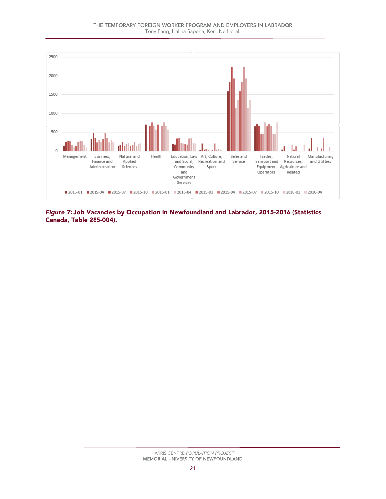Tony Fang, Halina Sapeha, Kerri Neil et al.



<span id="page-22-0"></span>*Figure 7:* Job Vacancies by Occupation in Newfoundland and Labrador, 2015-2016 (Statistics Canada, Table 285-004).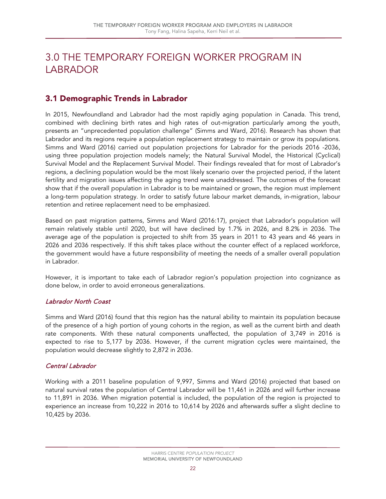## <span id="page-23-0"></span>3.0 THE TEMPORARY FOREIGN WORKER PROGRAM IN LABRADOR

## <span id="page-23-1"></span>3.1 Demographic Trends in Labrador

In 2015, Newfoundland and Labrador had the most rapidly aging population in Canada. This trend, combined with declining birth rates and high rates of out-migration particularly among the youth, presents an "unprecedented population challenge" (Simms and Ward, 2016). Research has shown that Labrador and its regions require a population replacement strategy to maintain or grow its populations. Simms and Ward (2016) carried out population projections for Labrador for the periods 2016 -2036, using three population projection models namely; the Natural Survival Model, the Historical (Cyclical) Survival Model and the Replacement Survival Model. Their findings revealed that for most of Labrador's regions, a declining population would be the most likely scenario over the projected period, if the latent fertility and migration issues affecting the aging trend were unaddressed. The outcomes of the forecast show that if the overall population in Labrador is to be maintained or grown, the region must implement a long-term population strategy. In order to satisfy future labour market demands, in-migration, labour retention and retiree replacement need to be emphasized.

Based on past migration patterns, Simms and Ward (2016:17), project that Labrador's population will remain relatively stable until 2020, but will have declined by 1.7% in 2026, and 8.2% in 2036. The average age of the population is projected to shift from 35 years in 2011 to 43 years and 46 years in 2026 and 2036 respectively. If this shift takes place without the counter effect of a replaced workforce, the government would have a future responsibility of meeting the needs of a smaller overall population in Labrador.

However, it is important to take each of Labrador region's population projection into cognizance as done below, in order to avoid erroneous generalizations.

## Labrador North Coast

Simms and Ward (2016) found that this region has the natural ability to maintain its population because of the presence of a high portion of young cohorts in the region, as well as the current birth and death rate components. With these natural components unaffected, the population of 3,749 in 2016 is expected to rise to 5,177 by 2036. However, if the current migration cycles were maintained, the population would decrease slightly to 2,872 in 2036.

#### Central Labrador

Working with a 2011 baseline population of 9,997, Simms and Ward (2016) projected that based on natural survival rates the population of Central Labrador will be 11,461 in 2026 and will further increase to 11,891 in 2036. When migration potential is included, the population of the region is projected to experience an increase from 10,222 in 2016 to 10,614 by 2026 and afterwards suffer a slight decline to 10,425 by 2036.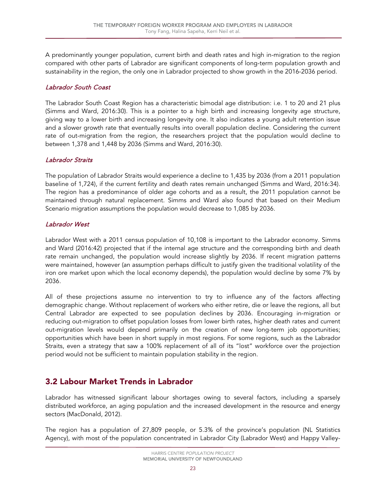A predominantly younger population, current birth and death rates and high in-migration to the region compared with other parts of Labrador are significant components of long-term population growth and sustainability in the region, the only one in Labrador projected to show growth in the 2016-2036 period.

#### Labrador South Coast

The Labrador South Coast Region has a characteristic bimodal age distribution: i.e. 1 to 20 and 21 plus (Simms and Ward, 2016:30). This is a pointer to a high birth and increasing longevity age structure, giving way to a lower birth and increasing longevity one. It also indicates a young adult retention issue and a slower growth rate that eventually results into overall population decline. Considering the current rate of out-migration from the region, the researchers project that the population would decline to between 1,378 and 1,448 by 2036 (Simms and Ward, 2016:30).

#### Labrador Straits

The population of Labrador Straits would experience a decline to 1,435 by 2036 (from a 2011 population baseline of 1,724), if the current fertility and death rates remain unchanged (Simms and Ward, 2016:34). The region has a predominance of older age cohorts and as a result, the 2011 population cannot be maintained through natural replacement. Simms and Ward also found that based on their Medium Scenario migration assumptions the population would decrease to 1,085 by 2036.

#### Labrador West

Labrador West with a 2011 census population of 10,108 is important to the Labrador economy. Simms and Ward (2016:42) projected that if the internal age structure and the corresponding birth and death rate remain unchanged, the population would increase slightly by 2036. If recent migration patterns were maintained, however (an assumption perhaps difficult to justify given the traditional volatility of the iron ore market upon which the local economy depends), the population would decline by some 7% by 2036.

All of these projections assume no intervention to try to influence any of the factors affecting demographic change. Without replacement of workers who either retire, die or leave the regions, all but Central Labrador are expected to see population declines by 2036. Encouraging in-migration or reducing out-migration to offset population losses from lower birth rates, higher death rates and current out-migration levels would depend primarily on the creation of new long-term job opportunities; opportunities which have been in short supply in most regions. For some regions, such as the Labrador Straits, even a strategy that saw a 100% replacement of all of its "lost" workforce over the projection period would not be sufficient to maintain population stability in the region.

## <span id="page-24-0"></span>3.2 Labour Market Trends in Labrador

Labrador has witnessed significant labour shortages owing to several factors, including a sparsely distributed workforce, an aging population and the increased development in the resource and energy sectors (MacDonald, 2012).

The region has a population of 27,809 people, or 5.3% of the province's population (NL Statistics Agency), with most of the population concentrated in Labrador City (Labrador West) and Happy Valley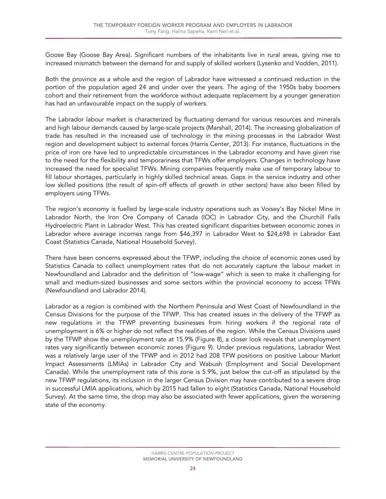Goose Bay (Goose Bay Area). Significant numbers of the inhabitants live in rural areas, giving rise to increased mismatch between the demand for and supply of skilled workers (Lysenko and Vodden, 2011).

Both the province as a whole and the region of Labrador have witnessed a continued reduction in the portion of the population aged 24 and under over the years. The aging of the 1950s baby boomers cohort and their retirement from the workforce without adequate replacement by a younger generation has had an unfavourable impact on the supply of workers.

The Labrador labour market is characterized by fluctuating demand for various resources and minerals and high labour demands caused by large-scale projects (Marshall, 2014). The increasing globalization of trade has resulted in the increased use of technology in the mining processes in the Labrador West region and development subject to external forces (Harris Center, 2013). For instance, fluctuations in the price of iron ore have led to unpredictable circumstances in the Labrador economy and have given rise to the need for the flexibility and temporariness that TFWs offer employers. Changes in technology have increased the need for specialist TFWs. Mining companies frequently make use of temporary labour to fill labour shortages, particularly in highly skilled technical areas. Gaps in the service industry and other low skilled positions (the result of spin-off effects of growth in other sectors) have also been filled by employers using TFWs.

The region's economy is fuelled by large-scale industry operations such as Voisey's Bay Nickel Mine in Labrador North, the Iron Ore Company of Canada (IOC) in Labrador City, and the Churchill Falls Hydroelectric Plant in Labrador West. This has created significant disparities between economic zones in Labrador where average incomes range from \$46,397 in Labrador West to \$24,698 in Labrador East Coast (Statistics Canada, National Household Survey).

There have been concerns expressed about the TFWP, including the choice of economic zones used by Statistics Canada to collect unemployment rates that do not accurately capture the labour market in Newfoundland and Labrador and the definition of "low-wage" which is seen to make it challenging for small and medium-sized businesses and some sectors within the provincial economy to access TFWs (Newfoundland and Labrador 2014).

Labrador as a region is combined with the Northern Peninsula and West Coast of Newfoundland in the Census Divisions for the purpose of the TFWP. This has created issues in the delivery of the TFWP as new regulations in the TFWP preventing businesses from hiring workers if the regional rate of unemployment is 6% or higher do not reflect the realities of the region. While the Census Divisions used by the TFWP show the unemployment rate at 15.9% (Figure 8), a closer look reveals that unemployment rates vary significantly between economic zones (Figure 9). Under previous regulations, Labrador West was a relatively large user of the TFWP and in 2012 had 208 TFW positions on positive Labour Market Impact Assessments (LMIAs) in Labrador City and Wabush (Employment and Social Development Canada). While the unemployment rate of this zone is 5.9%, just below the cut-off as stipulated by the new TFWP regulations, its inclusion in the larger Census Division may have contributed to a severe drop in successful LMIA applications, which by 2015 had fallen to eight (Statistics Canada, National Household Survey). At the same time, the drop may also be associated with fewer applications, given the worsening state of the economy.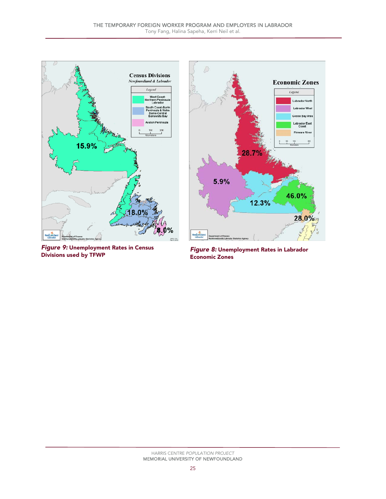

**Figure 9: Unemployment Rates in Census<br>Divisions used by TFWP** 



**Figure 8: Unemployment Rates in Labrador** Economic Zones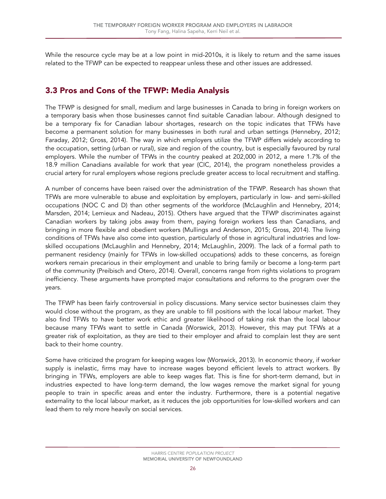While the resource cycle may be at a low point in mid-2010s, it is likely to return and the same issues related to the TFWP can be expected to reappear unless these and other issues are addressed.

## <span id="page-27-0"></span>3.3 Pros and Cons of the TFWP: Media Analysis

The TFWP is designed for small, medium and large businesses in Canada to bring in foreign workers on a temporary basis when those businesses cannot find suitable Canadian labour. Although designed to be a temporary fix for Canadian labour shortages, research on the topic indicates that TFWs have become a permanent solution for many businesses in both rural and urban settings (Hennebry, 2012; Faraday, 2012; Gross, 2014). The way in which employers utilize the TFWP differs widely according to the occupation, setting (urban or rural), size and region of the country, but is especially favoured by rural employers. While the number of TFWs in the country peaked at 202,000 in 2012, a mere 1.7% of the 18.9 million Canadians available for work that year (CIC, 2014), the program nonetheless provides a crucial artery for rural employers whose regions preclude greater access to local recruitment and staffing.

A number of concerns have been raised over the administration of the TFWP. Research has shown that TFWs are more vulnerable to abuse and exploitation by employers, particularly in low- and semi-skilled occupations (NOC C and D) than other segments of the workforce (McLaughlin and Hennebry, 2014; Marsden, 2014; Lemieux and Nadeau, 2015). Others have argued that the TFWP discriminates against Canadian workers by taking jobs away from them, paying foreign workers less than Canadians, and bringing in more flexible and obedient workers (Mullings and Anderson, 2015; Gross, 2014). The living conditions of TFWs have also come into question, particularly of those in agricultural industries and lowskilled occupations (McLaughlin and Hennebry, 2014; McLaughlin, 2009). The lack of a formal path to permanent residency (mainly for TFWs in low-skilled occupations) adds to these concerns, as foreign workers remain precarious in their employment and unable to bring family or become a long-term part of the community (Preibisch and Otero, 2014). Overall, concerns range from rights violations to program inefficiency. These arguments have prompted major consultations and reforms to the program over the years.

The TFWP has been fairly controversial in policy discussions. Many service sector businesses claim they would close without the program, as they are unable to fill positions with the local labour market. They also find TFWs to have better work ethic and greater likelihood of taking risk than the local labour because many TFWs want to settle in Canada (Worswick, 2013). However, this may put TFWs at a greater risk of exploitation, as they are tied to their employer and afraid to complain lest they are sent back to their home country.

Some have criticized the program for keeping wages low (Worswick, 2013). In economic theory, if worker supply is inelastic, firms may have to increase wages beyond efficient levels to attract workers. By bringing in TFWs, employers are able to keep wages flat. This is fine for short-term demand, but in industries expected to have long-term demand, the low wages remove the market signal for young people to train in specific areas and enter the industry. Furthermore, there is a potential negative externality to the local labour market, as it reduces the job opportunities for low-skilled workers and can lead them to rely more heavily on social services.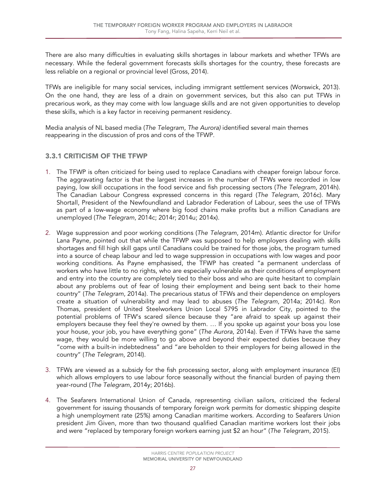There are also many difficulties in evaluating skills shortages in labour markets and whether TFWs are necessary. While the federal government forecasts skills shortages for the country, these forecasts are less reliable on a regional or provincial level (Gross, 2014).

TFWs are ineligible for many social services, including immigrant settlement services (Worswick, 2013). On the one hand, they are less of a drain on government services, but this also can put TFWs in precarious work, as they may come with low language skills and are not given opportunities to develop these skills, which is a key factor in receiving permanent residency.

Media analysis of NL based media (*The Telegram, The Aurora)* identified several main themes reappearing in the discussion of pros and cons of the TFWP.

## <span id="page-28-0"></span>3.3.1 CRITICISM OF THE TFWP

- 1. The TFWP is often criticized for being used to replace Canadians with cheaper foreign labour force. The aggravating factor is that the largest increases in the number of TFWs were recorded in low paying, low skill occupations in the food service and fish processing sectors (*The Telegram*, 2014h). The Canadian Labour Congress expressed concerns in this regard (*The Telegram*, 2016c). Mary Shortall, President of the Newfoundland and Labrador Federation of Labour, sees the use of TFWs as part of a low-wage economy where big food chains make profits but a million Canadians are unemployed (*The Telegram*, 2014c; 2014r; 2014u; 2014x).
- 2. Wage suppression and poor working conditions (*The Telegram*, 2014m). Atlantic director for Unifor Lana Payne, pointed out that while the TFWP was supposed to help employers dealing with skills shortages and fill high skill gaps until Canadians could be trained for those jobs, the program turned into a source of cheap labour and led to wage suppression in occupations with low wages and poor working conditions. As Payne emphasised, the TFWP has created "a permanent underclass of workers who have little to no rights, who are especially vulnerable as their conditions of employment and entry into the country are completely tied to their boss and who are quite hesitant to complain about any problems out of fear of losing their employment and being sent back to their home country" (*The Telegram*, 2014a). The precarious status of TFWs and their dependence on employers create a situation of vulnerability and may lead to abuses (*The Telegram*, 2014a; 2014c). Ron Thomas, president of United Steelworkers Union Local 5795 in Labrador City, pointed to the potential problems of TFW's scared silence because they "are afraid to speak up against their employers because they feel they're owned by them. … If you spoke up against your boss you lose your house, your job, you have everything gone" (*The Aurora*, 2014a). Even if TFWs have the same wage, they would be more willing to go above and beyond their expected duties because they "come with a built-in indebtedness" and "are beholden to their employers for being allowed in the country" (*The Telegram*, 2014l).
- 3. TFWs are viewed as a subsidy for the fish processing sector, along with employment insurance (EI) which allows employers to use labour force seasonally without the financial burden of paying them year-round (*The Telegram*, 2014y; 2016b).
- 4. The Seafarers International Union of Canada, representing civilian sailors, criticized the federal government for issuing thousands of temporary foreign work permits for domestic shipping despite a high unemployment rate (25%) among Canadian maritime workers. According to Seafarers Union president Jim Given, more than two thousand qualified Canadian maritime workers lost their jobs and were "replaced by temporary foreign workers earning just \$2 an hour" (*The Telegram*, 2015).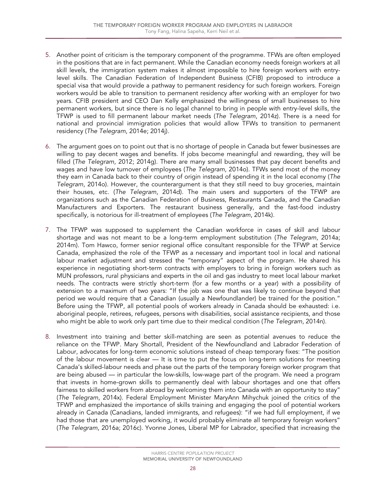- 5. Another point of criticism is the temporary component of the programme. TFWs are often employed in the positions that are in fact permanent. While the Canadian economy needs foreign workers at all skill levels, the immigration system makes it almost impossible to hire foreign workers with entrylevel skills. The Canadian Federation of Independent Business (CFIB) proposed to introduce a special visa that would provide a pathway to permanent residency for such foreign workers. Foreign workers would be able to transition to permanent residency after working with an employer for two years. CFIB president and CEO Dan Kelly emphasized the willingness of small businesses to hire permanent workers, but since there is no legal channel to bring in people with entry-level skills, the TFWP is used to fill permanent labour market needs (*The Telegram*, 2014z). There is a need for national and provincial immigration policies that would allow TFWs to transition to permanent residency (*The Telegram*, 2014e; 2014j).
- 6. The argument goes on to point out that is no shortage of people in Canada but fewer businesses are willing to pay decent wages and benefits. If jobs become meaningful and rewarding, they will be filled (*The Telegram*, 2012; 2014g). There are many small businesses that pay decent benefits and wages and have low turnover of employees (*The Telegram*, 2014o). TFWs send most of the money they earn in Canada back to their country of origin instead of spending it in the local economy (*The Telegram*, 2014o). However, the counterargument is that they still need to buy groceries, maintain their houses, etc. (*The Telegram*, 2014d). The main users and supporters of the TFWP are organizations such as the Canadian Federation of Business, Restaurants Canada, and the Canadian Manufacturers and Exporters. The restaurant business generally, and the fast-food industry specifically, is notorious for ill-treatment of employees (*The Telegram*, 2014k).
- 7. The TFWP was supposed to supplement the Canadian workforce in cases of skill and labour shortage and was not meant to be a long-term employment substitution (*The Telegram*, 2014a; 2014m). Tom Hawco, former senior regional office consultant responsible for the TFWP at Service Canada, emphasized the role of the TFWP as a necessary and important tool in local and national labour market adjustment and stressed the "temporary" aspect of the program. He shared his experience in negotiating short-term contracts with employers to bring in foreign workers such as MUN professors, rural physicians and experts in the oil and gas industry to meet local labour market needs. The contracts were strictly short-term (for a few months or a year) with a possibility of extension to a maximum of two years: "If the job was one that was likely to continue beyond that period we would require that a Canadian (usually a Newfoundlander) be trained for the position." Before using the TFWP, all potential pools of workers already in Canada should be exhausted: i.e. aboriginal people, retirees, refugees, persons with disabilities, social assistance recipients, and those who might be able to work only part time due to their medical condition (*The Telegram*, 2014n).
- 8. Investment into training and better skill-matching are seen as potential avenues to reduce the reliance on the TFWP. Mary Shortall, President of the Newfoundland and Labrador Federation of Labour, advocates for long-term economic solutions instead of cheap temporary fixes: "The position of the labour movement is clear — It is time to put the focus on long-term solutions for meeting Canada's skilled-labour needs and phase out the parts of the temporary foreign worker program that are being abused — in particular the low-skills, low-wage part of the program. We need a program that invests in home-grown skills to permanently deal with labour shortages and one that offers fairness to skilled workers from abroad by welcoming them into Canada with an opportunity to stay" (*The Telegram*, 2014x). Federal Employment Minister MaryAnn Mihychuk joined the critics of the TFWP and emphasized the importance of skills training and engaging the pool of potential workers already in Canada (Canadians, landed immigrants, and refugees): "if we had full employment, if we had those that are unemployed working, it would probably eliminate all temporary foreign workers" (*The Telegram*, 2016a; 2016c). Yvonne Jones, Liberal MP for Labrador, specified that increasing the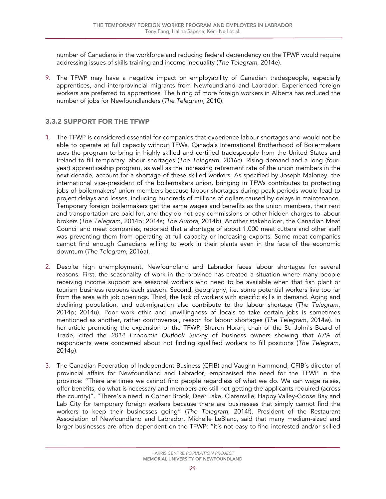number of Canadians in the workforce and reducing federal dependency on the TFWP would require addressing issues of skills training and income inequality (*The Telegram*, 2014e).

9. The TFWP may have a negative impact on employability of Canadian tradespeople, especially apprentices, and interprovincial migrants from Newfoundland and Labrador. Experienced foreign workers are preferred to apprentices. The hiring of more foreign workers in Alberta has reduced the number of jobs for Newfoundlanders (*The Telegram*, 2010).

## <span id="page-30-0"></span>3.3.2 SUPPORT FOR THE TFWP

- 1. The TFWP is considered essential for companies that experience labour shortages and would not be able to operate at full capacity without TFWs. Canada's International Brotherhood of Boilermakers uses the program to bring in highly skilled and certified tradespeople from the United States and Ireland to fill temporary labour shortages (*The Telegram*, 2016c). Rising demand and a long (fouryear) apprenticeship program, as well as the increasing retirement rate of the union members in the next decade, account for a shortage of these skilled workers. As specified by Joseph Maloney, the international vice-president of the boilermakers union, bringing in TFWs contributes to protecting jobs of boilermakers' union members because labour shortages during peak periods would lead to project delays and losses, including hundreds of millions of dollars caused by delays in maintenance. Temporary foreign boilermakers get the same wages and benefits as the union members, their rent and transportation are paid for, and they do not pay commissions or other hidden charges to labour brokers (*The Telegram*, 2014b; 2014s; *The Aurora*, 2014b). Another stakeholder, the Canadian Meat Council and meat companies, reported that a shortage of about 1,000 meat cutters and other staff was preventing them from operating at full capacity or increasing exports. Some meat companies cannot find enough Canadians willing to work in their plants even in the face of the economic downturn (*The Telegram*, 2016a).
- 2. Despite high unemployment, Newfoundland and Labrador faces labour shortages for several reasons. First, the seasonality of work in the province has created a situation where many people receiving income support are seasonal workers who need to be available when that fish plant or tourism business reopens each season. Second, geography, i.e. some potential workers live too far from the area with job openings. Third, the lack of workers with specific skills in demand. Aging and declining population, and out-migration also contribute to the labour shortage (*The Telegram*, 2014p; 2014u). Poor work ethic and unwillingness of locals to take certain jobs is sometimes mentioned as another, rather controversial, reason for labour shortages (*The Telegram*, 2014w). In her article promoting the expansion of the TFWP, Sharon Horan, chair of the St. John's Board of Trade, cited the *2014 Economic Outlook Survey* of business owners showing that 67% of respondents were concerned about not finding qualified workers to fill positions (*The Telegram*, 2014p).
- 3. The Canadian Federation of Independent Business (CFIB) and Vaughn Hammond, CFIB's director of provincial affairs for Newfoundland and Labrador, emphasised the need for the TFWP in the province: "There are times we cannot find people regardless of what we do. We can wage raises, offer benefits, do what is necessary and members are still not getting the applicants required (across the country)". "There's a need in Corner Brook, Deer Lake, Clarenville, Happy Valley-Goose Bay and Lab City for temporary foreign workers because there are businesses that simply cannot find the workers to keep their businesses going" (*The Telegram*, 2014f). President of the Restaurant Association of Newfoundland and Labrador, Michelle LeBlanc, said that many medium-sized and larger businesses are often dependent on the TFWP: "it's not easy to find interested and/or skilled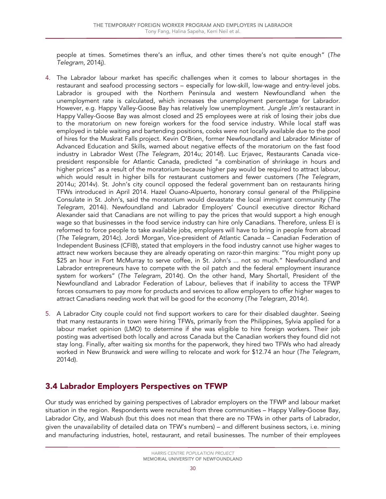people at times. Sometimes there's an influx, and other times there's not quite enough" (*The Telegram*, 2014j).

- 4. The Labrador labour market has specific challenges when it comes to labour shortages in the restaurant and seafood processing sectors – especially for low-skill, low-wage and entry-level jobs. Labrador is grouped with the Northern Peninsula and western Newfoundland when the unemployment rate is calculated, which increases the unemployment percentage for Labrador. However, e.g. Happy Valley-Goose Bay has relatively low unemployment. *Jungle Jim's* restaurant in Happy Valley-Goose Bay was almost closed and 25 employees were at risk of losing their jobs due to the moratorium on new foreign workers for the food service industry. While local staff was employed in table waiting and bartending positions, cooks were not locally available due to the pool of hires for the Muskrat Falls project. Kevin O'Brien, former Newfoundland and Labrador Minister of Advanced Education and Skills, warned about negative effects of the moratorium on the fast food industry in Labrador West (*The Telegram*, 2014u; 2014f). Luc Erjavec, Restaurants Canada vicepresident responsible for Atlantic Canada, predicted "a combination of shrinkage in hours and higher prices" as a result of the moratorium because higher pay would be required to attract labour, which would result in higher bills for restaurant customers and fewer customers (*The Telegram*, 2014u; 2014v). St. John's city council opposed the federal government ban on restaurants hiring TFWs introduced in April 2014. Hazel Ouano-Alpuerto, honorary consul general of the Philippine Consulate in St. John's, said the moratorium would devastate the local immigrant community (*The Telegram*, 2014i). Newfoundland and Labrador Employers' Council executive director Richard Alexander said that Canadians are not willing to pay the prices that would support a high enough wage so that businesses in the food service industry can hire only Canadians. Therefore, unless EI is reformed to force people to take available jobs, employers will have to bring in people from abroad (*The Telegram*, 2014c). Jordi Morgan, Vice-president of Atlantic Canada – Canadian Federation of Independent Business (CFIB), stated that employers in the food industry cannot use higher wages to attract new workers because they are already operating on razor-thin margins: "You might pony up \$25 an hour in Fort McMurray to serve coffee, in St. John's ... not so much." Newfoundland and Labrador entrepreneurs have to compete with the oil patch and the federal employment insurance system for workers" (*The Telegram*, 2014t). On the other hand, Mary Shortall, President of the Newfoundland and Labrador Federation of Labour, believes that if inability to access the TFWP forces consumers to pay more for products and services to allow employers to offer higher wages to attract Canadians needing work that will be good for the economy (*The Telegram*, 2014r).
- 5. A Labrador City couple could not find support workers to care for their disabled daughter. Seeing that many restaurants in town were hiring TFWs, primarily from the Philippines, Sylvia applied for a labour market opinion (LMO) to determine if she was eligible to hire foreign workers. Their job posting was advertised both locally and across Canada but the Canadian workers they found did not stay long. Finally, after waiting six months for the paperwork, they hired two TFWs who had already worked in New Brunswick and were willing to relocate and work for \$12.74 an hour (*The Telegram*, 2014d).

## <span id="page-31-0"></span>3.4 Labrador Employers Perspectives on TFWP

Our study was enriched by gaining perspectives of Labrador employers on the TFWP and labour market situation in the region. Respondents were recruited from three communities – Happy Valley-Goose Bay, Labrador City, and Wabush (but this does not mean that there are no TFWs in other parts of Labrador, given the unavailability of detailed data on TFW's numbers) – and different business sectors, i.e. mining and manufacturing industries, hotel, restaurant, and retail businesses. The number of their employees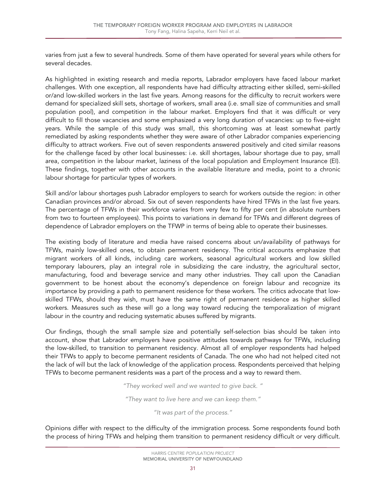varies from just a few to several hundreds. Some of them have operated for several years while others for several decades.

As highlighted in existing research and media reports, Labrador employers have faced labour market challenges. With one exception, all respondents have had difficulty attracting either skilled, semi-skilled or/and low-skilled workers in the last five years. Among reasons for the difficulty to recruit workers were demand for specialized skill sets, shortage of workers, small area (i.e. small size of communities and small population pool), and competition in the labour market. Employers find that it was difficult or very difficult to fill those vacancies and some emphasized a very long duration of vacancies: up to five-eight years. While the sample of this study was small, this shortcoming was at least somewhat partly remediated by asking respondents whether they were aware of other Labrador companies experiencing difficulty to attract workers. Five out of seven respondents answered positively and cited similar reasons for the challenge faced by other local businesses: i.e. skill shortages, labour shortage due to pay, small area, competition in the labour market, laziness of the local population and Employment Insurance (EI). These findings, together with other accounts in the available literature and media, point to a chronic labour shortage for particular types of workers.

Skill and/or labour shortages push Labrador employers to search for workers outside the region: in other Canadian provinces and/or abroad. Six out of seven respondents have hired TFWs in the last five years. The percentage of TFWs in their workforce varies from very few to fifty per cent (in absolute numbers from two to fourteen employees). This points to variations in demand for TFWs and different degrees of dependence of Labrador employers on the TFWP in terms of being able to operate their businesses.

The existing body of literature and media have raised concerns about un/availability of pathways for TFWs, mainly low-skilled ones, to obtain permanent residency. The critical accounts emphasize that migrant workers of all kinds, including care workers, seasonal agricultural workers and low skilled temporary labourers, play an integral role in subsidizing the care industry, the agricultural sector, manufacturing, food and beverage service and many other industries. They call upon the Canadian government to be honest about the economy's dependence on foreign labour and recognize its importance by providing a path to permanent residence for these workers. The critics advocate that lowskilled TFWs, should they wish, must have the same right of permanent residence as higher skilled workers. Measures such as these will go a long way toward reducing the temporalization of migrant labour in the country and reducing systematic abuses suffered by migrants.

Our findings, though the small sample size and potentially self-selection bias should be taken into account, show that Labrador employers have positive attitudes towards pathways for TFWs, including the low-skilled, to transition to permanent residency. Almost all of employer respondents had helped their TFWs to apply to become permanent residents of Canada. The one who had not helped cited not the lack of will but the lack of knowledge of the application process. Respondents perceived that helping TFWs to become permanent residents was a part of the process and a way to reward them.

*"They worked well and we wanted to give back. "*

*"They want to live here and we can keep them."*

*"It was part of the process."*

Opinions differ with respect to the difficulty of the immigration process. Some respondents found both the process of hiring TFWs and helping them transition to permanent residency difficult or very difficult.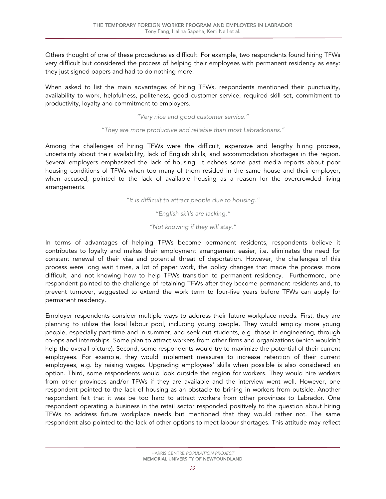Others thought of one of these procedures as difficult. For example, two respondents found hiring TFWs very difficult but considered the process of helping their employees with permanent residency as easy: they just signed papers and had to do nothing more.

When asked to list the main advantages of hiring TFWs, respondents mentioned their punctuality, availability to work, helpfulness, politeness, good customer service, required skill set, commitment to productivity, loyalty and commitment to employers.

*"Very nice and good customer service."*

#### *"They are more productive and reliable than most Labradorians."*

Among the challenges of hiring TFWs were the difficult, expensive and lengthy hiring process, uncertainty about their availability, lack of English skills, and accommodation shortages in the region. Several employers emphasized the lack of housing. It echoes some past media reports about poor housing conditions of TFWs when too many of them resided in the same house and their employer, when accused, pointed to the lack of available housing as a reason for the overcrowded living arrangements.

*"It is difficult to attract people due to housing."*

*"English skills are lacking."*

*"Not knowing if they will stay."*

In terms of advantages of helping TFWs become permanent residents, respondents believe it contributes to loyalty and makes their employment arrangement easier, i.e. eliminates the need for constant renewal of their visa and potential threat of deportation. However, the challenges of this process were long wait times, a lot of paper work, the policy changes that made the process more difficult, and not knowing how to help TFWs transition to permanent residency. Furthermore, one respondent pointed to the challenge of retaining TFWs after they become permanent residents and, to prevent turnover, suggested to extend the work term to four-five years before TFWs can apply for permanent residency.

Employer respondents consider multiple ways to address their future workplace needs. First, they are planning to utilize the local labour pool, including young people. They would employ more young people, especially part-time and in summer, and seek out students, e.g. those in engineering, through co-ops and internships. Some plan to attract workers from other firms and organizations (which wouldn't help the overall picture). Second, some respondents would try to maximize the potential of their current employees. For example, they would implement measures to increase retention of their current employees, e.g. by raising wages. Upgrading employees' skills when possible is also considered an option. Third, some respondents would look outside the region for workers. They would hire workers from other provinces and/or TFWs if they are available and the interview went well. However, one respondent pointed to the lack of housing as an obstacle to brining in workers from outside. Another respondent felt that it was be too hard to attract workers from other provinces to Labrador. One respondent operating a business in the retail sector responded positively to the question about hiring TFWs to address future workplace needs but mentioned that they would rather not. The same respondent also pointed to the lack of other options to meet labour shortages. This attitude may reflect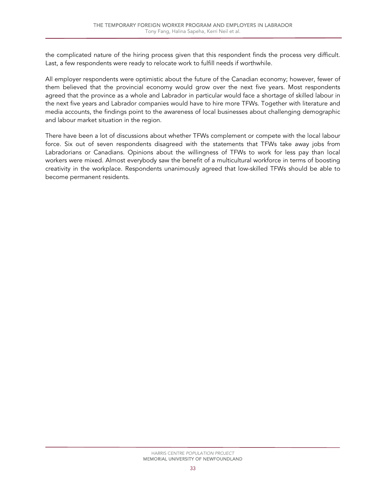the complicated nature of the hiring process given that this respondent finds the process very difficult. Last, a few respondents were ready to relocate work to fulfill needs if worthwhile.

All employer respondents were optimistic about the future of the Canadian economy; however, fewer of them believed that the provincial economy would grow over the next five years. Most respondents agreed that the province as a whole and Labrador in particular would face a shortage of skilled labour in the next five years and Labrador companies would have to hire more TFWs. Together with literature and media accounts, the findings point to the awareness of local businesses about challenging demographic and labour market situation in the region.

<span id="page-34-0"></span>There have been a lot of discussions about whether TFWs complement or compete with the local labour force. Six out of seven respondents disagreed with the statements that TFWs take away jobs from Labradorians or Canadians. Opinions about the willingness of TFWs to work for less pay than local workers were mixed. Almost everybody saw the benefit of a multicultural workforce in terms of boosting creativity in the workplace. Respondents unanimously agreed that low-skilled TFWs should be able to become permanent residents.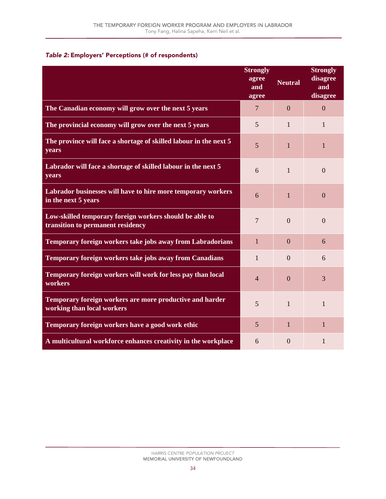#### *Table 2:* Employers' Perceptions (# of respondents)

|                                                                                              | <b>Strongly</b><br>agree<br>and<br>agree | <b>Neutral</b> | <b>Strongly</b><br>disagree<br>and<br>disagree |
|----------------------------------------------------------------------------------------------|------------------------------------------|----------------|------------------------------------------------|
| The Canadian economy will grow over the next 5 years                                         | $\tau$                                   | $\overline{0}$ | $\Omega$                                       |
| The provincial economy will grow over the next 5 years                                       | 5                                        | $\mathbf{1}$   | $\mathbf{1}$                                   |
| The province will face a shortage of skilled labour in the next 5<br>years                   | 5                                        | 1              | 1                                              |
| Labrador will face a shortage of skilled labour in the next 5<br>years                       | 6                                        | $\mathbf{1}$   | $\Omega$                                       |
| Labrador businesses will have to hire more temporary workers<br>in the next 5 years          | 6                                        | $\mathbf{1}$   | $\Omega$                                       |
| Low-skilled temporary foreign workers should be able to<br>transition to permanent residency | 7                                        | $\Omega$       | $\Omega$                                       |
| Temporary foreign workers take jobs away from Labradorians                                   | $\mathbf{1}$                             | $\Omega$       | 6                                              |
| Temporary foreign workers take jobs away from Canadians                                      | $\mathbf{1}$                             | $\Omega$       | 6                                              |
| Temporary foreign workers will work for less pay than local<br>workers                       | $\overline{4}$                           | $\overline{0}$ | 3                                              |
| Temporary foreign workers are more productive and harder<br>working than local workers       | 5                                        | $\mathbf{1}$   | 1                                              |
| Temporary foreign workers have a good work ethic                                             | 5                                        | $\mathbf{1}$   | 1                                              |
| A multicultural workforce enhances creativity in the workplace                               | 6                                        | $\theta$       | 1                                              |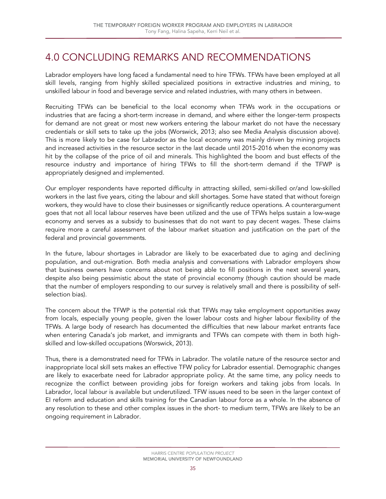## <span id="page-36-0"></span>4.0 CONCLUDING REMARKS AND RECOMMENDATIONS

Labrador employers have long faced a fundamental need to hire TFWs. TFWs have been employed at all skill levels, ranging from highly skilled specialized positions in extractive industries and mining, to unskilled labour in food and beverage service and related industries, with many others in between.

Recruiting TFWs can be beneficial to the local economy when TFWs work in the occupations or industries that are facing a short-term increase in demand, and where either the longer-term prospects for demand are not great or most new workers entering the labour market do not have the necessary credentials or skill sets to take up the jobs (Worswick, 2013; also see Media Analysis discussion above). This is more likely to be case for Labrador as the local economy was mainly driven by mining projects and increased activities in the resource sector in the last decade until 2015-2016 when the economy was hit by the collapse of the price of oil and minerals. This highlighted the boom and bust effects of the resource industry and importance of hiring TFWs to fill the short-term demand if the TFWP is appropriately designed and implemented.

Our employer respondents have reported difficulty in attracting skilled, semi-skilled or/and low-skilled workers in the last five years, citing the labour and skill shortages. Some have stated that without foreign workers, they would have to close their businesses or significantly reduce operations. A counterargument goes that not all local labour reserves have been utilized and the use of TFWs helps sustain a low-wage economy and serves as a subsidy to businesses that do not want to pay decent wages. These claims require more a careful assessment of the labour market situation and justification on the part of the federal and provincial governments.

In the future, labour shortages in Labrador are likely to be exacerbated due to aging and declining population, and out-migration. Both media analysis and conversations with Labrador employers show that business owners have concerns about not being able to fill positions in the next several years, despite also being pessimistic about the state of provincial economy (though caution should be made that the number of employers responding to our survey is relatively small and there is possibility of selfselection bias).

The concern about the TFWP is the potential risk that TFWs may take employment opportunities away from locals, especially young people, given the lower labour costs and higher labour flexibility of the TFWs. A large body of research has documented the difficulties that new labour market entrants face when entering Canada's job market, and immigrants and TFWs can compete with them in both highskilled and low-skilled occupations (Worswick, 2013).

Thus, there is a demonstrated need for TFWs in Labrador. The volatile nature of the resource sector and inappropriate local skill sets makes an effective TFW policy for Labrador essential. Demographic changes are likely to exacerbate need for Labrador appropriate policy. At the same time, any policy needs to recognize the conflict between providing jobs for foreign workers and taking jobs from locals. In Labrador, local labour is available but underutilized. TFW issues need to be seen in the larger context of EI reform and education and skills training for the Canadian labour force as a whole. In the absence of any resolution to these and other complex issues in the short- to medium term, TFWs are likely to be an ongoing requirement in Labrador.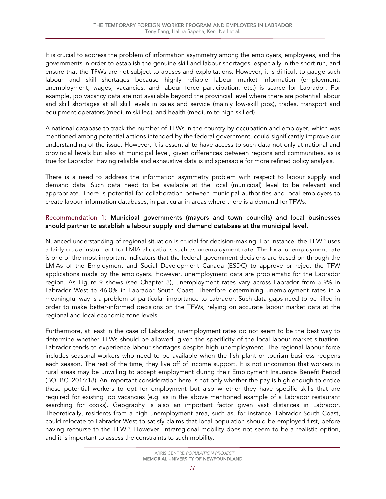It is crucial to address the problem of information asymmetry among the employers, employees, and the governments in order to establish the genuine skill and labour shortages, especially in the short run, and ensure that the TFWs are not subject to abuses and exploitations. However, it is difficult to gauge such labour and skill shortages because highly reliable labour market information (employment, unemployment, wages, vacancies, and labour force participation, etc.) is scarce for Labrador. For example, job vacancy data are not available beyond the provincial level where there are potential labour and skill shortages at all skill levels in sales and service (mainly low-skill jobs), trades, transport and equipment operators (medium skilled), and health (medium to high skilled).

A national database to track the number of TFWs in the country by occupation and employer, which was mentioned among potential actions intended by the federal government, could significantly improve our understanding of the issue. However, it is essential to have access to such data not only at national and provincial levels but also at municipal level, given differences between regions and communities, as is true for Labrador. Having reliable and exhaustive data is indispensable for more refined policy analysis.

There is a need to address the information asymmetry problem with respect to labour supply and demand data. Such data need to be available at the local (municipal) level to be relevant and appropriate. There is potential for collaboration between municipal authorities and local employers to create labour information databases, in particular in areas where there is a demand for TFWs.

#### Recommendation 1: Municipal governments (mayors and town councils) and local businesses should partner to establish a labour supply and demand database at the municipal level.

Nuanced understanding of regional situation is crucial for decision-making. For instance, the TFWP uses a fairly crude instrument for LMIA allocations such as unemployment rate. The local unemployment rate is one of the most important indicators that the federal government decisions are based on through the LMIAs of the Employment and Social Development Canada (ESDC) to approve or reject the TFW applications made by the employers. However, unemployment data are problematic for the Labrador region. As Figure 9 shows (see Chapter 3), unemployment rates vary across Labrador from 5.9% in Labrador West to 46.0% in Labrador South Coast. Therefore determining unemployment rates in a meaningful way is a problem of particular importance to Labrador. Such data gaps need to be filled in order to make better-informed decisions on the TFWs, relying on accurate labour market data at the regional and local economic zone levels.

Furthermore, at least in the case of Labrador, unemployment rates do not seem to be the best way to determine whether TFWs should be allowed, given the specificity of the local labour market situation. Labrador tends to experience labour shortages despite high unemployment. The regional labour force includes seasonal workers who need to be available when the fish plant or tourism business reopens each season. The rest of the time, they live off of income support. It is not uncommon that workers in rural areas may be unwilling to accept employment during their Employment Insurance Benefit Period (BOFBC, 2016:18). An important consideration here is not only whether the pay is high enough to entice these potential workers to opt for employment but also whether they have specific skills that are required for existing job vacancies (e.g. as in the above mentioned example of a Labrador restaurant searching for cooks). Geography is also an important factor given vast distances in Labrador. Theoretically, residents from a high unemployment area, such as, for instance, Labrador South Coast, could relocate to Labrador West to satisfy claims that local population should be employed first, before having recourse to the TFWP. However, intraregional mobility does not seem to be a realistic option, and it is important to assess the constraints to such mobility.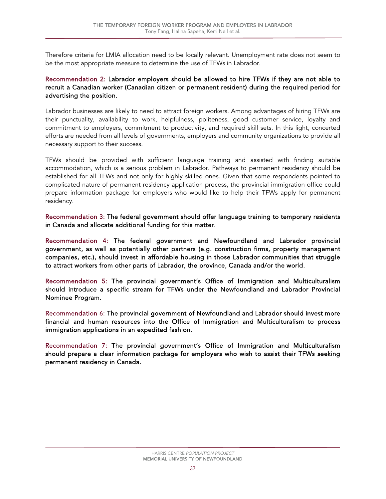Therefore criteria for LMIA allocation need to be locally relevant. Unemployment rate does not seem to be the most appropriate measure to determine the use of TFWs in Labrador.

#### Recommendation 2: Labrador employers should be allowed to hire TFWs if they are not able to recruit a Canadian worker (Canadian citizen or permanent resident) during the required period for advertising the position.

Labrador businesses are likely to need to attract foreign workers. Among advantages of hiring TFWs are their punctuality, availability to work, helpfulness, politeness, good customer service, loyalty and commitment to employers, commitment to productivity, and required skill sets. In this light, concerted efforts are needed from all levels of governments, employers and community organizations to provide all necessary support to their success.

TFWs should be provided with sufficient language training and assisted with finding suitable accommodation, which is a serious problem in Labrador. Pathways to permanent residency should be established for all TFWs and not only for highly skilled ones. Given that some respondents pointed to complicated nature of permanent residency application process, the provincial immigration office could prepare information package for employers who would like to help their TFWs apply for permanent residency.

Recommendation 3: The federal government should offer language training to temporary residents in Canada and allocate additional funding for this matter.

Recommendation 4: The federal government and Newfoundland and Labrador provincial government, as well as potentially other partners (e.g. construction firms, property management companies, etc.), should invest in affordable housing in those Labrador communities that struggle to attract workers from other parts of Labrador, the province, Canada and/or the world.

Recommendation 5: The provincial government's Office of Immigration and Multiculturalism should introduce a specific stream for TFWs under the Newfoundland and Labrador Provincial Nominee Program.

Recommendation 6: The provincial government of Newfoundland and Labrador should invest more financial and human resources into the Office of Immigration and Multiculturalism to process immigration applications in an expedited fashion.

Recommendation 7: The provincial government's Office of Immigration and Multiculturalism should prepare a clear information package for employers who wish to assist their TFWs seeking permanent residency in Canada.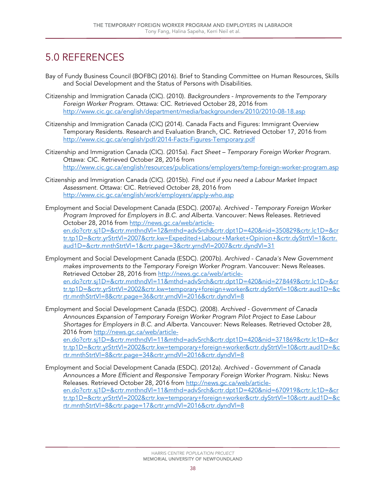## <span id="page-39-0"></span>5.0 REFERENCES

- Bay of Fundy Business Council (BOFBC) (2016). Brief to Standing Committee on Human Resources, Skills and Social Development and the Status of Persons with Disabilities.
- Citizenship and Immigration Canada (CIC). (2010). *Backgrounders - Improvements to the Temporary Foreign Worker Program.* Ottawa: CIC. Retrieved October 28, 2016 from <http://www.cic.gc.ca/english/department/media/backgrounders/2010/2010-08-18.asp>
- Citizenship and Immigration Canada (CIC) (2014). Canada Facts and Figures: Immigrant Overview Temporary Residents. Research and Evaluation Branch, CIC. Retrieved October 17, 2016 from <http://www.cic.gc.ca/english/pdf/2014-Facts-Figures-Temporary.pdf>
- Citizenship and Immigration Canada (CIC). (2015a). *Fact Sheet – Temporary Foreign Worker Program.*  Ottawa: CIC. Retrieved October 28, 2016 from <http://www.cic.gc.ca/english/resources/publications/employers/temp-foreign-worker-program.asp>
- Citizenship and Immigration Canada (CIC). (2015b). *Find out if you need a Labour Market Impact Assessment.* Ottawa: CIC. Retrieved October 28, 2016 from <http://www.cic.gc.ca/english/work/employers/apply-who.asp>
- Employment and Social Development Canada (ESDC). (2007a). *Archived - Temporary Foreign Worker Program Improved for Employers in B.C. and Alberta.* Vancouver: News Releases. Retrieved October 28, 2016 from [http://news.gc.ca/web/article](http://news.gc.ca/web/article-en.do?crtr.sj1D=&crtr.mnthndVl=12&mthd=advSrch&crtr.dpt1D=420&nid=350829&crtr.lc1D=&crtr.tp1D=&crtr.yrStrtVl=2007&crtr.kw=Expedited+Labour+Market+Opinion+&crtr.dyStrtVl=1&crtr.aud1D=&crtr.mnthStrtVl=1&crtr.page=3&crtr.yrndVl=2007&crtr.dyndVl=31)en.do?crtr.si1D=&crtr.mnthndVl=12&mthd=advSrch&crtr.dpt1D=420&nid=350829&crtr.lc1D=&cr [tr.tp1D=&crtr.yrStrtVl=2007&crtr.kw=Expedited+Labour+Market+Opinion+&crtr.dyStrtVl=1&crtr.](http://news.gc.ca/web/article-en.do?crtr.sj1D=&crtr.mnthndVl=12&mthd=advSrch&crtr.dpt1D=420&nid=350829&crtr.lc1D=&crtr.tp1D=&crtr.yrStrtVl=2007&crtr.kw=Expedited+Labour+Market+Opinion+&crtr.dyStrtVl=1&crtr.aud1D=&crtr.mnthStrtVl=1&crtr.page=3&crtr.yrndVl=2007&crtr.dyndVl=31) [aud1D=&crtr.mnthStrtVl=1&crtr.page=3&crtr.yrndVl=2007&crtr.dyndVl=31](http://news.gc.ca/web/article-en.do?crtr.sj1D=&crtr.mnthndVl=12&mthd=advSrch&crtr.dpt1D=420&nid=350829&crtr.lc1D=&crtr.tp1D=&crtr.yrStrtVl=2007&crtr.kw=Expedited+Labour+Market+Opinion+&crtr.dyStrtVl=1&crtr.aud1D=&crtr.mnthStrtVl=1&crtr.page=3&crtr.yrndVl=2007&crtr.dyndVl=31)
- Employment and Social Development Canada (ESDC). (2007b). *Archived - Canada's New Government makes improvements to the Temporary Foreign Worker Program.* Vancouver: News Releases. Retrieved October 28, 2016 from [http://news.gc.ca/web/article](http://news.gc.ca/web/article-en.do?crtr.sj1D=&crtr.mnthndVl=11&mthd=advSrch&crtr.dpt1D=420&nid=278449&crtr.lc1D=&crtr.tp1D=&crtr.yrStrtVl=2002&crtr.kw=temporary+foreign+worker&crtr.dyStrtVl=10&crtr.aud1D=&crtr.mnthStrtVl=8&crtr.page=36&crtr.yrndVl=2016&crtr.dyndVl=8)[en.do?crtr.sj1D=&crtr.mnthndVl=11&mthd=advSrch&crtr.dpt1D=420&nid=278449&crtr.lc1D=&cr](http://news.gc.ca/web/article-en.do?crtr.sj1D=&crtr.mnthndVl=11&mthd=advSrch&crtr.dpt1D=420&nid=278449&crtr.lc1D=&crtr.tp1D=&crtr.yrStrtVl=2002&crtr.kw=temporary+foreign+worker&crtr.dyStrtVl=10&crtr.aud1D=&crtr.mnthStrtVl=8&crtr.page=36&crtr.yrndVl=2016&crtr.dyndVl=8) [tr.tp1D=&crtr.yrStrtVl=2002&crtr.kw=temporary+foreign+worker&crtr.dyStrtVl=10&crtr.aud1D=&c](http://news.gc.ca/web/article-en.do?crtr.sj1D=&crtr.mnthndVl=11&mthd=advSrch&crtr.dpt1D=420&nid=278449&crtr.lc1D=&crtr.tp1D=&crtr.yrStrtVl=2002&crtr.kw=temporary+foreign+worker&crtr.dyStrtVl=10&crtr.aud1D=&crtr.mnthStrtVl=8&crtr.page=36&crtr.yrndVl=2016&crtr.dyndVl=8) [rtr.mnthStrtVl=8&crtr.page=36&crtr.yrndVl=2016&crtr.dyndVl=8](http://news.gc.ca/web/article-en.do?crtr.sj1D=&crtr.mnthndVl=11&mthd=advSrch&crtr.dpt1D=420&nid=278449&crtr.lc1D=&crtr.tp1D=&crtr.yrStrtVl=2002&crtr.kw=temporary+foreign+worker&crtr.dyStrtVl=10&crtr.aud1D=&crtr.mnthStrtVl=8&crtr.page=36&crtr.yrndVl=2016&crtr.dyndVl=8)
- Employment and Social Development Canada (ESDC). (2008). *Archived - Government of Canada Announces Expansion of Temporary Foreign Worker Program Pilot Project to Ease Labour Shortages for Employers in B.C. and Alberta.* Vancouver: News Releases. Retrieved October 28, 2016 from [http://news.gc.ca/web/article-](http://news.gc.ca/web/article-en.do?crtr.sj1D=&crtr.mnthndVl=11&mthd=advSrch&crtr.dpt1D=420&nid=371869&crtr.lc1D=&crtr.tp1D=&crtr.yrStrtVl=2002&crtr.kw=temporary+foreign+worker&crtr.dyStrtVl=10&crtr.aud1D=&crtr.mnthStrtVl=8&crtr.page=34&crtr.yrndVl=2016&crtr.dyndVl=8)

[en.do?crtr.sj1D=&crtr.mnthndVl=11&mthd=advSrch&crtr.dpt1D=420&nid=371869&crtr.lc1D=&cr](http://news.gc.ca/web/article-en.do?crtr.sj1D=&crtr.mnthndVl=11&mthd=advSrch&crtr.dpt1D=420&nid=371869&crtr.lc1D=&crtr.tp1D=&crtr.yrStrtVl=2002&crtr.kw=temporary+foreign+worker&crtr.dyStrtVl=10&crtr.aud1D=&crtr.mnthStrtVl=8&crtr.page=34&crtr.yrndVl=2016&crtr.dyndVl=8) [tr.tp1D=&crtr.yrStrtVl=2002&crtr.kw=temporary+foreign+worker&crtr.dyStrtVl=10&crtr.aud1D=&c](http://news.gc.ca/web/article-en.do?crtr.sj1D=&crtr.mnthndVl=11&mthd=advSrch&crtr.dpt1D=420&nid=371869&crtr.lc1D=&crtr.tp1D=&crtr.yrStrtVl=2002&crtr.kw=temporary+foreign+worker&crtr.dyStrtVl=10&crtr.aud1D=&crtr.mnthStrtVl=8&crtr.page=34&crtr.yrndVl=2016&crtr.dyndVl=8) [rtr.mnthStrtVl=8&crtr.page=34&crtr.yrndVl=2016&crtr.dyndVl=8](http://news.gc.ca/web/article-en.do?crtr.sj1D=&crtr.mnthndVl=11&mthd=advSrch&crtr.dpt1D=420&nid=371869&crtr.lc1D=&crtr.tp1D=&crtr.yrStrtVl=2002&crtr.kw=temporary+foreign+worker&crtr.dyStrtVl=10&crtr.aud1D=&crtr.mnthStrtVl=8&crtr.page=34&crtr.yrndVl=2016&crtr.dyndVl=8)

Employment and Social Development Canada (ESDC). (2012a). *Archived - Government of Canada Announces a More Efficient and Responsive Temporary Foreign Worker Program.* Nisku: News Releases. Retrieved October 28, 2016 from [http://news.gc.ca/web/article](http://news.gc.ca/web/article-en.do?crtr.sj1D=&crtr.mnthndVl=11&mthd=advSrch&crtr.dpt1D=420&nid=670919&crtr.lc1D=&crtr.tp1D=&crtr.yrStrtVl=2002&crtr.kw=temporary+foreign+worker&crtr.dyStrtVl=10&crtr.aud1D=&crtr.mnthStrtVl=8&crtr.page=17&crtr.yrndVl=2016&crtr.dyndVl=8)[en.do?crtr.sj1D=&crtr.mnthndVl=11&mthd=advSrch&crtr.dpt1D=420&nid=670919&crtr.lc1D=&cr](http://news.gc.ca/web/article-en.do?crtr.sj1D=&crtr.mnthndVl=11&mthd=advSrch&crtr.dpt1D=420&nid=670919&crtr.lc1D=&crtr.tp1D=&crtr.yrStrtVl=2002&crtr.kw=temporary+foreign+worker&crtr.dyStrtVl=10&crtr.aud1D=&crtr.mnthStrtVl=8&crtr.page=17&crtr.yrndVl=2016&crtr.dyndVl=8) [tr.tp1D=&crtr.yrStrtVl=2002&crtr.kw=temporary+foreign+worker&crtr.dyStrtVl=10&crtr.aud1D=&c](http://news.gc.ca/web/article-en.do?crtr.sj1D=&crtr.mnthndVl=11&mthd=advSrch&crtr.dpt1D=420&nid=670919&crtr.lc1D=&crtr.tp1D=&crtr.yrStrtVl=2002&crtr.kw=temporary+foreign+worker&crtr.dyStrtVl=10&crtr.aud1D=&crtr.mnthStrtVl=8&crtr.page=17&crtr.yrndVl=2016&crtr.dyndVl=8) [rtr.mnthStrtVl=8&crtr.page=17&crtr.yrndVl=2016&crtr.dyndVl=8](http://news.gc.ca/web/article-en.do?crtr.sj1D=&crtr.mnthndVl=11&mthd=advSrch&crtr.dpt1D=420&nid=670919&crtr.lc1D=&crtr.tp1D=&crtr.yrStrtVl=2002&crtr.kw=temporary+foreign+worker&crtr.dyStrtVl=10&crtr.aud1D=&crtr.mnthStrtVl=8&crtr.page=17&crtr.yrndVl=2016&crtr.dyndVl=8)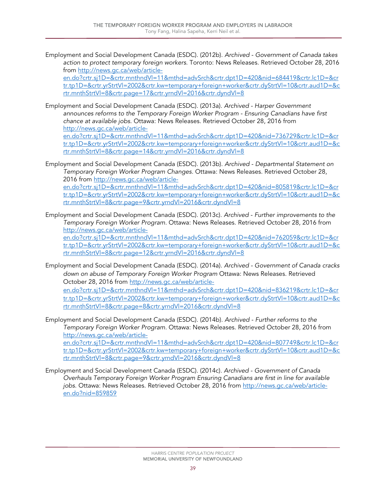Employment and Social Development Canada (ESDC). (2012b). *Archived - Government of Canada takes action to protect temporary foreign workers.* Toronto: News Releases. Retrieved October 28, 2016 from [http://news.gc.ca/web/article-](http://news.gc.ca/web/article-en.do?crtr.sj1D=&crtr.mnthndVl=11&mthd=advSrch&crtr.dpt1D=420&nid=684419&crtr.lc1D=&crtr.tp1D=&crtr.yrStrtVl=2002&crtr.kw=temporary+foreign+worker&crtr.dyStrtVl=10&crtr.aud1D=&crtr.mnthStrtVl=8&crtr.page=17&crtr.yrndVl=2016&crtr.dyndVl=8)

[en.do?crtr.sj1D=&crtr.mnthndVl=11&mthd=advSrch&crtr.dpt1D=420&nid=684419&crtr.lc1D=&cr](http://news.gc.ca/web/article-en.do?crtr.sj1D=&crtr.mnthndVl=11&mthd=advSrch&crtr.dpt1D=420&nid=684419&crtr.lc1D=&crtr.tp1D=&crtr.yrStrtVl=2002&crtr.kw=temporary+foreign+worker&crtr.dyStrtVl=10&crtr.aud1D=&crtr.mnthStrtVl=8&crtr.page=17&crtr.yrndVl=2016&crtr.dyndVl=8) [tr.tp1D=&crtr.yrStrtVl=2002&crtr.kw=temporary+foreign+worker&crtr.dyStrtVl=10&crtr.aud1D=&c](http://news.gc.ca/web/article-en.do?crtr.sj1D=&crtr.mnthndVl=11&mthd=advSrch&crtr.dpt1D=420&nid=684419&crtr.lc1D=&crtr.tp1D=&crtr.yrStrtVl=2002&crtr.kw=temporary+foreign+worker&crtr.dyStrtVl=10&crtr.aud1D=&crtr.mnthStrtVl=8&crtr.page=17&crtr.yrndVl=2016&crtr.dyndVl=8) [rtr.mnthStrtVl=8&crtr.page=17&crtr.yrndVl=2016&crtr.dyndVl=8](http://news.gc.ca/web/article-en.do?crtr.sj1D=&crtr.mnthndVl=11&mthd=advSrch&crtr.dpt1D=420&nid=684419&crtr.lc1D=&crtr.tp1D=&crtr.yrStrtVl=2002&crtr.kw=temporary+foreign+worker&crtr.dyStrtVl=10&crtr.aud1D=&crtr.mnthStrtVl=8&crtr.page=17&crtr.yrndVl=2016&crtr.dyndVl=8)

Employment and Social Development Canada (ESDC). (2013a). *Archived - Harper Government announces reforms to the Temporary Foreign Worker Program - Ensuring Canadians have first chance at available jobs.* Ottawa: News Releases. Retrieved October 28, 2016 from [http://news.gc.ca/web/article-](http://news.gc.ca/web/article-en.do?crtr.sj1D=&crtr.mnthndVl=11&mthd=advSrch&crtr.dpt1D=420&nid=736729&crtr.lc1D=&crtr.tp1D=&crtr.yrStrtVl=2002&crtr.kw=temporary+foreign+worker&crtr.dyStrtVl=10&crtr.aud1D=&crtr.mnthStrtVl=8&crtr.page=14&crtr.yrndVl=2016&crtr.dyndVl=8)

[en.do?crtr.sj1D=&crtr.mnthndVl=11&mthd=advSrch&crtr.dpt1D=420&nid=736729&crtr.lc1D=&cr](http://news.gc.ca/web/article-en.do?crtr.sj1D=&crtr.mnthndVl=11&mthd=advSrch&crtr.dpt1D=420&nid=736729&crtr.lc1D=&crtr.tp1D=&crtr.yrStrtVl=2002&crtr.kw=temporary+foreign+worker&crtr.dyStrtVl=10&crtr.aud1D=&crtr.mnthStrtVl=8&crtr.page=14&crtr.yrndVl=2016&crtr.dyndVl=8) [tr.tp1D=&crtr.yrStrtVl=2002&crtr.kw=temporary+foreign+worker&crtr.dyStrtVl=10&crtr.aud1D=&c](http://news.gc.ca/web/article-en.do?crtr.sj1D=&crtr.mnthndVl=11&mthd=advSrch&crtr.dpt1D=420&nid=736729&crtr.lc1D=&crtr.tp1D=&crtr.yrStrtVl=2002&crtr.kw=temporary+foreign+worker&crtr.dyStrtVl=10&crtr.aud1D=&crtr.mnthStrtVl=8&crtr.page=14&crtr.yrndVl=2016&crtr.dyndVl=8) [rtr.mnthStrtVl=8&crtr.page=14&crtr.yrndVl=2016&crtr.dyndVl=8](http://news.gc.ca/web/article-en.do?crtr.sj1D=&crtr.mnthndVl=11&mthd=advSrch&crtr.dpt1D=420&nid=736729&crtr.lc1D=&crtr.tp1D=&crtr.yrStrtVl=2002&crtr.kw=temporary+foreign+worker&crtr.dyStrtVl=10&crtr.aud1D=&crtr.mnthStrtVl=8&crtr.page=14&crtr.yrndVl=2016&crtr.dyndVl=8)

Employment and Social Development Canada (ESDC). (2013b). *Archived - Departmental Statement on Temporary Foreign Worker Program Changes.* Ottawa: News Releases. Retrieved October 28, 2016 from [http://news.gc.ca/web/article](http://news.gc.ca/web/article-en.do?crtr.sj1D=&crtr.mnthndVl=11&mthd=advSrch&crtr.dpt1D=420&nid=805819&crtr.lc1D=&crtr.tp1D=&crtr.yrStrtVl=2002&crtr.kw=temporary+foreign+worker&crtr.dyStrtVl=10&crtr.aud1D=&crtr.mnthStrtVl=8&crtr.page=9&crtr.yrndVl=2016&crtr.dyndVl=8)[en.do?crtr.sj1D=&crtr.mnthndVl=11&mthd=advSrch&crtr.dpt1D=420&nid=805819&crtr.lc1D=&cr](http://news.gc.ca/web/article-en.do?crtr.sj1D=&crtr.mnthndVl=11&mthd=advSrch&crtr.dpt1D=420&nid=805819&crtr.lc1D=&crtr.tp1D=&crtr.yrStrtVl=2002&crtr.kw=temporary+foreign+worker&crtr.dyStrtVl=10&crtr.aud1D=&crtr.mnthStrtVl=8&crtr.page=9&crtr.yrndVl=2016&crtr.dyndVl=8) [tr.tp1D=&crtr.yrStrtVl=2002&crtr.kw=temporary+foreign+worker&crtr.dyStrtVl=10&crtr.aud1D=&c](http://news.gc.ca/web/article-en.do?crtr.sj1D=&crtr.mnthndVl=11&mthd=advSrch&crtr.dpt1D=420&nid=805819&crtr.lc1D=&crtr.tp1D=&crtr.yrStrtVl=2002&crtr.kw=temporary+foreign+worker&crtr.dyStrtVl=10&crtr.aud1D=&crtr.mnthStrtVl=8&crtr.page=9&crtr.yrndVl=2016&crtr.dyndVl=8) [rtr.mnthStrtVl=8&crtr.page=9&crtr.yrndVl=2016&crtr.dyndVl=8](http://news.gc.ca/web/article-en.do?crtr.sj1D=&crtr.mnthndVl=11&mthd=advSrch&crtr.dpt1D=420&nid=805819&crtr.lc1D=&crtr.tp1D=&crtr.yrStrtVl=2002&crtr.kw=temporary+foreign+worker&crtr.dyStrtVl=10&crtr.aud1D=&crtr.mnthStrtVl=8&crtr.page=9&crtr.yrndVl=2016&crtr.dyndVl=8)

Employment and Social Development Canada (ESDC). (2013c). *Archived - Further improvements to the Temporary Foreign Worker Program.* Ottawa: News Releases. Retrieved October 28, 2016 from [http://news.gc.ca/web/article](http://news.gc.ca/web/article-en.do?crtr.sj1D=&crtr.mnthndVl=11&mthd=advSrch&crtr.dpt1D=420&nid=762059&crtr.lc1D=&crtr.tp1D=&crtr.yrStrtVl=2002&crtr.kw=temporary+foreign+worker&crtr.dyStrtVl=10&crtr.aud1D=&crtr.mnthStrtVl=8&crtr.page=12&crtr.yrndVl=2016&crtr.dyndVl=8)[en.do?crtr.sj1D=&crtr.mnthndVl=11&mthd=advSrch&crtr.dpt1D=420&nid=762059&crtr.lc1D=&cr](http://news.gc.ca/web/article-en.do?crtr.sj1D=&crtr.mnthndVl=11&mthd=advSrch&crtr.dpt1D=420&nid=762059&crtr.lc1D=&crtr.tp1D=&crtr.yrStrtVl=2002&crtr.kw=temporary+foreign+worker&crtr.dyStrtVl=10&crtr.aud1D=&crtr.mnthStrtVl=8&crtr.page=12&crtr.yrndVl=2016&crtr.dyndVl=8)

[tr.tp1D=&crtr.yrStrtVl=2002&crtr.kw=temporary+foreign+worker&crtr.dyStrtVl=10&crtr.aud1D=&c](http://news.gc.ca/web/article-en.do?crtr.sj1D=&crtr.mnthndVl=11&mthd=advSrch&crtr.dpt1D=420&nid=762059&crtr.lc1D=&crtr.tp1D=&crtr.yrStrtVl=2002&crtr.kw=temporary+foreign+worker&crtr.dyStrtVl=10&crtr.aud1D=&crtr.mnthStrtVl=8&crtr.page=12&crtr.yrndVl=2016&crtr.dyndVl=8) [rtr.mnthStrtVl=8&crtr.page=12&crtr.yrndVl=2016&crtr.dyndVl=8](http://news.gc.ca/web/article-en.do?crtr.sj1D=&crtr.mnthndVl=11&mthd=advSrch&crtr.dpt1D=420&nid=762059&crtr.lc1D=&crtr.tp1D=&crtr.yrStrtVl=2002&crtr.kw=temporary+foreign+worker&crtr.dyStrtVl=10&crtr.aud1D=&crtr.mnthStrtVl=8&crtr.page=12&crtr.yrndVl=2016&crtr.dyndVl=8)

Employment and Social Development Canada (ESDC). (2014a). *Archived - Government of Canada cracks down on abuse of Temporary Foreign Worker Program* Ottawa: News Releases. Retrieved October 28, 2016 from [http://news.gc.ca/web/article-](http://news.gc.ca/web/article-en.do?crtr.sj1D=&crtr.mnthndVl=11&mthd=advSrch&crtr.dpt1D=420&nid=836219&crtr.lc1D=&crtr.tp1D=&crtr.yrStrtVl=2002&crtr.kw=temporary+foreign+worker&crtr.dyStrtVl=10&crtr.aud1D=&crtr.mnthStrtVl=8&crtr.page=8&crtr.yrndVl=2016&crtr.dyndVl=8)

[en.do?crtr.sj1D=&crtr.mnthndVl=11&mthd=advSrch&crtr.dpt1D=420&nid=836219&crtr.lc1D=&cr](http://news.gc.ca/web/article-en.do?crtr.sj1D=&crtr.mnthndVl=11&mthd=advSrch&crtr.dpt1D=420&nid=836219&crtr.lc1D=&crtr.tp1D=&crtr.yrStrtVl=2002&crtr.kw=temporary+foreign+worker&crtr.dyStrtVl=10&crtr.aud1D=&crtr.mnthStrtVl=8&crtr.page=8&crtr.yrndVl=2016&crtr.dyndVl=8) [tr.tp1D=&crtr.yrStrtVl=2002&crtr.kw=temporary+foreign+worker&crtr.dyStrtVl=10&crtr.aud1D=&c](http://news.gc.ca/web/article-en.do?crtr.sj1D=&crtr.mnthndVl=11&mthd=advSrch&crtr.dpt1D=420&nid=836219&crtr.lc1D=&crtr.tp1D=&crtr.yrStrtVl=2002&crtr.kw=temporary+foreign+worker&crtr.dyStrtVl=10&crtr.aud1D=&crtr.mnthStrtVl=8&crtr.page=8&crtr.yrndVl=2016&crtr.dyndVl=8) [rtr.mnthStrtVl=8&crtr.page=8&crtr.yrndVl=2016&crtr.dyndVl=8](http://news.gc.ca/web/article-en.do?crtr.sj1D=&crtr.mnthndVl=11&mthd=advSrch&crtr.dpt1D=420&nid=836219&crtr.lc1D=&crtr.tp1D=&crtr.yrStrtVl=2002&crtr.kw=temporary+foreign+worker&crtr.dyStrtVl=10&crtr.aud1D=&crtr.mnthStrtVl=8&crtr.page=8&crtr.yrndVl=2016&crtr.dyndVl=8)

Employment and Social Development Canada (ESDC). (2014b). *Archived - Further reforms to the Temporary Foreign Worker Program.* Ottawa: News Releases. Retrieved October 28, 2016 from [http://news.gc.ca/web/article-](http://news.gc.ca/web/article-en.do?crtr.sj1D=&crtr.mnthndVl=11&mthd=advSrch&crtr.dpt1D=420&nid=807749&crtr.lc1D=&crtr.tp1D=&crtr.yrStrtVl=2002&crtr.kw=temporary+foreign+worker&crtr.dyStrtVl=10&crtr.aud1D=&crtr.mnthStrtVl=8&crtr.page=9&crtr.yrndVl=2016&crtr.dyndVl=8)

[en.do?crtr.sj1D=&crtr.mnthndVl=11&mthd=advSrch&crtr.dpt1D=420&nid=807749&crtr.lc1D=&cr](http://news.gc.ca/web/article-en.do?crtr.sj1D=&crtr.mnthndVl=11&mthd=advSrch&crtr.dpt1D=420&nid=807749&crtr.lc1D=&crtr.tp1D=&crtr.yrStrtVl=2002&crtr.kw=temporary+foreign+worker&crtr.dyStrtVl=10&crtr.aud1D=&crtr.mnthStrtVl=8&crtr.page=9&crtr.yrndVl=2016&crtr.dyndVl=8) [tr.tp1D=&crtr.yrStrtVl=2002&crtr.kw=temporary+foreign+worker&crtr.dyStrtVl=10&crtr.aud1D=&c](http://news.gc.ca/web/article-en.do?crtr.sj1D=&crtr.mnthndVl=11&mthd=advSrch&crtr.dpt1D=420&nid=807749&crtr.lc1D=&crtr.tp1D=&crtr.yrStrtVl=2002&crtr.kw=temporary+foreign+worker&crtr.dyStrtVl=10&crtr.aud1D=&crtr.mnthStrtVl=8&crtr.page=9&crtr.yrndVl=2016&crtr.dyndVl=8) [rtr.mnthStrtVl=8&crtr.page=9&crtr.yrndVl=2016&crtr.dyndVl=8](http://news.gc.ca/web/article-en.do?crtr.sj1D=&crtr.mnthndVl=11&mthd=advSrch&crtr.dpt1D=420&nid=807749&crtr.lc1D=&crtr.tp1D=&crtr.yrStrtVl=2002&crtr.kw=temporary+foreign+worker&crtr.dyStrtVl=10&crtr.aud1D=&crtr.mnthStrtVl=8&crtr.page=9&crtr.yrndVl=2016&crtr.dyndVl=8)

Employment and Social Development Canada (ESDC). (2014c). *Archived - Government of Canada Overhauls Temporary Foreign Worker Program Ensuring Canadians are first in line for available jobs.* Ottawa: News Releases. Retrieved October 28, 2016 from [http://news.gc.ca/web/article](http://news.gc.ca/web/article-en.do?nid=859859)[en.do?nid=859859](http://news.gc.ca/web/article-en.do?nid=859859)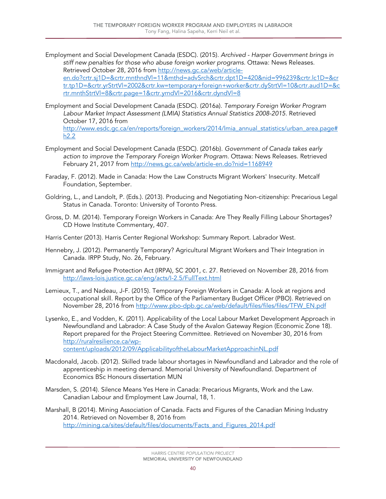- Employment and Social Development Canada (ESDC). (2015). *Archived - Harper Government brings in stiff new penalties for those who abuse foreign worker programs.* Ottawa: News Releases. Retrieved October 28, 2016 from [http://news.gc.ca/web/article](http://news.gc.ca/web/article-en.do?crtr.sj1D=&crtr.mnthndVl=11&mthd=advSrch&crtr.dpt1D=420&nid=996239&crtr.lc1D=&crtr.tp1D=&crtr.yrStrtVl=2002&crtr.kw=temporary+foreign+worker&crtr.dyStrtVl=10&crtr.aud1D=&crtr.mnthStrtVl=8&crtr.page=1&crtr.yrndVl=2016&crtr.dyndVl=8)[en.do?crtr.sj1D=&crtr.mnthndVl=11&mthd=advSrch&crtr.dpt1D=420&nid=996239&crtr.lc1D=&cr](http://news.gc.ca/web/article-en.do?crtr.sj1D=&crtr.mnthndVl=11&mthd=advSrch&crtr.dpt1D=420&nid=996239&crtr.lc1D=&crtr.tp1D=&crtr.yrStrtVl=2002&crtr.kw=temporary+foreign+worker&crtr.dyStrtVl=10&crtr.aud1D=&crtr.mnthStrtVl=8&crtr.page=1&crtr.yrndVl=2016&crtr.dyndVl=8) [tr.tp1D=&crtr.yrStrtVl=2002&crtr.kw=temporary+foreign+worker&crtr.dyStrtVl=10&crtr.aud1D=&c](http://news.gc.ca/web/article-en.do?crtr.sj1D=&crtr.mnthndVl=11&mthd=advSrch&crtr.dpt1D=420&nid=996239&crtr.lc1D=&crtr.tp1D=&crtr.yrStrtVl=2002&crtr.kw=temporary+foreign+worker&crtr.dyStrtVl=10&crtr.aud1D=&crtr.mnthStrtVl=8&crtr.page=1&crtr.yrndVl=2016&crtr.dyndVl=8) [rtr.mnthStrtVl=8&crtr.page=1&crtr.yrndVl=2016&crtr.dyndVl=8](http://news.gc.ca/web/article-en.do?crtr.sj1D=&crtr.mnthndVl=11&mthd=advSrch&crtr.dpt1D=420&nid=996239&crtr.lc1D=&crtr.tp1D=&crtr.yrStrtVl=2002&crtr.kw=temporary+foreign+worker&crtr.dyStrtVl=10&crtr.aud1D=&crtr.mnthStrtVl=8&crtr.page=1&crtr.yrndVl=2016&crtr.dyndVl=8)
- Employment and Social Development Canada (ESDC). (2016a). *Temporary Foreign Worker Program Labour Market Impact Assessment (LMIA) Statistics Annual Statistics 2008-2015*. Retrieved October 17, 2016 from [http://www.esdc.gc.ca/en/reports/foreign\\_workers/2014/lmia\\_annual\\_statistics/urban\\_area.page#](http://www.esdc.gc.ca/en/reports/foreign_workers/2014/lmia_annual_statistics/urban_area.page#h2.2)  $h2.2$
- Employment and Social Development Canada (ESDC). (2016b). *Government of Canada takes early action to improve the Temporary Foreign Worker Program*. Ottawa: News Releases. Retrieved February 21, 2017 from<http://news.gc.ca/web/article-en.do?nid=1168949>
- Faraday, F. (2012). Made in Canada: How the Law Constructs Migrant Workers' Insecurity. Metcalf Foundation, September.
- Goldring, L., and Landolt, P. (Eds.). (2013). Producing and Negotiating Non-citizenship: Precarious Legal Status in Canada. Toronto: University of Toronto Press.
- Gross, D. M. (2014). Temporary Foreign Workers in Canada: Are They Really Filling Labour Shortages? CD Howe Institute Commentary, 407.
- Harris Center (2013). Harris Center Regional Workshop: Summary Report. Labrador West.
- Hennebry, J. (2012). Permanently Temporary? Agricultural Migrant Workers and Their Integration in Canada. IRPP Study, No. 26, February.
- Immigrant and Refugee Protection Act (IRPA), SC 2001, c. 27. Retrieved on November 28, 2016 from <http://laws-lois.justice.gc.ca/eng/acts/I-2.5/FullText.html>
- Lemieux, T., and Nadeau, J-F. (2015). Temporary Foreign Workers in Canada: A look at regions and occupational skill. Report by the Office of the Parliamentary Budget Officer (PBO). Retrieved on November 28, 2016 from [http://www.pbo-dpb.gc.ca/web/default/files/files/files/TFW\\_EN.pdf](http://www.pbo-dpb.gc.ca/web/default/files/files/files/TFW_EN.pdf)
- Lysenko, E., and Vodden, K. (2011). Applicability of the Local Labour Market Development Approach in Newfoundland and Labrador: A Case Study of the Avalon Gateway Region (Economic Zone 18). Report prepared for the Project Steering Committee. Retrieved on November 30, 2016 from [http://ruralresilience.ca/wp](http://ruralresilience.ca/wp-content/uploads/2012/09/ApplicabilityoftheLabourMarketApproachinNL.pdf)[content/uploads/2012/09/ApplicabilityoftheLabourMarketApproachinNL.pdf](http://ruralresilience.ca/wp-content/uploads/2012/09/ApplicabilityoftheLabourMarketApproachinNL.pdf)
- Macdonald, Jacob. (2012). Skilled trade labour shortages in Newfoundland and Labrador and the role of
- apprenticeship in meeting demand. Memorial University of Newfoundland. Department of Economics BSc Honours dissertation MUN
- Marsden, S. (2014). Silence Means Yes Here in Canada: Precarious Migrants, Work and the Law. Canadian Labour and Employment Law Journal, 18, 1.
- Marshall, B (2014). Mining Association of Canada. Facts and Figures of the Canadian Mining Industry 2014. Retrieved on November 8, 2016 from [http://mining.ca/sites/default/files/documents/Facts\\_and\\_Figures\\_2014.pdf](http://mining.ca/sites/default/files/documents/Facts_and_Figures_2014.pdf)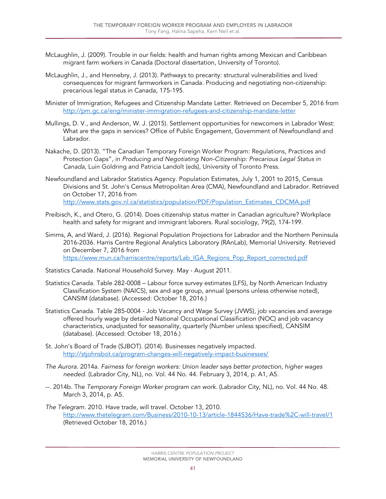- McLaughlin, J. (2009). Trouble in our fields: health and human rights among Mexican and Caribbean migrant farm workers in Canada (Doctoral dissertation, University of Toronto).
- McLaughlin, J., and Hennebry, J. (2013). Pathways to precarity: structural vulnerabilities and lived consequences for migrant farmworkers in Canada. Producing and negotiating non-citizenship: precarious legal status in Canada, 175-195.
- Minister of Immigration, Refugees and Citizenship Mandate Letter. Retrieved on December 5, 2016 from <http://pm.gc.ca/eng/minister-immigration-refugees-and-citizenship-mandate-letter>
- Mullings, D. V., and Anderson, W. J. (2015). Settlement opportunities for newcomers in Labrador West: What are the gaps in services? Office of Public Engagement, Government of Newfoundland and Labrador.
- Nakache, D. (2013). "The Canadian Temporary Foreign Worker Program: Regulations, Practices and Protection Gaps", in *Producing and Negotiating Non-Citizenship: Precarious Legal Status in Canada*, Luin Goldring and Patricia Landolt (eds), University of Toronto Press.
- Newfoundland and Labrador Statistics Agency. Population Estimates, July 1, 2001 to 2015, Census Divisions and St. John's Census Metropolitan Area (CMA), Newfoundland and Labrador. Retrieved on October 17, 2016 from [http://www.stats.gov.nl.ca/statistics/population/PDF/Population\\_Estimates\\_CDCMA.pdf](http://www.stats.gov.nl.ca/statistics/population/PDF/Population_Estimates_CDCMA.pdf)
- Preibisch, K., and Otero, G. (2014). Does citizenship status matter in Canadian agriculture? Workplace health and safety for migrant and immigrant laborers. Rural sociology, 79(2), 174-199.
- Simms, A, and Ward, J. (2016). Regional Population Projections for Labrador and the Northern Peninsula 2016-2036. Harris Centre Regional Analytics Laboratory (RAnLab), Memorial University. Retrieved on December 7, 2016 from [https://www.mun.ca/harriscentre/reports/Lab\\_IGA\\_Regions\\_Pop\\_Report\\_corrected.pdf](https://www.mun.ca/harriscentre/reports/Lab_IGA_Regions_Pop_Report_corrected.pdf)
- Statistics Canada. National Household Survey. May August 2011.
- Statistics Canada. Table 282-0008 Labour force survey estimates (LFS), by North American Industry Classification System (NAICS), sex and age group, annual (persons unless otherwise noted), CANSIM (database). (Accessed: October 18, 2016.)
- Statistics Canada. Table 285-0004 Job Vacancy and Wage Survey (JVWS), job vacancies and average offered hourly wage by detailed National Occupational Classification (NOC) and job vacancy characteristics, unadjusted for seasonality, quarterly (Number unless specified), CANSIM (database). (Accessed: October 18, 2016.)
- St. John's Board of Trade (SJBOT). (2014). Businesses negatively impacted. <http://stjohnsbot.ca/program-changes-will-negatively-impact-businesses/>
- *The Aurora*. 2014a. *Fairness for foreign workers: Union leader says better protection, higher wages needed*. (Labrador City, NL), no. Vol. 44 No. 44. February 3, 2014, p. A1, A5.
- --. 2014b. The *Temporary Foreign Worker program can work*. (Labrador City, NL), no. Vol. 44 No. 48. March 3, 2014, p. A5.
- *The Telegram*. 2010. Have trade, will travel. October 13, 2010. <http://www.thetelegram.com/Business/2010-10-13/article-1844536/Have-trade%2C-will-travel/1> (Retrieved October 18, 2016.)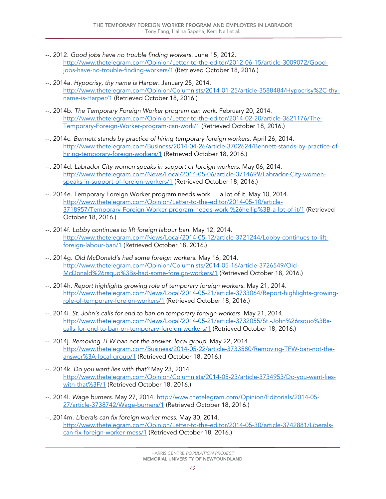- --. 2012. *Good jobs have no trouble finding workers*. June 15, 2012. [http://www.thetelegram.com/Opinion/Letter-to-the-editor/2012-06-15/article-3009072/Good](http://www.thetelegram.com/Opinion/Letter-to-the-editor/2012-06-15/article-3009072/Good-jobs-have-no-trouble-finding-workers/1)[jobs-have-no-trouble-finding-workers/1](http://www.thetelegram.com/Opinion/Letter-to-the-editor/2012-06-15/article-3009072/Good-jobs-have-no-trouble-finding-workers/1) (Retrieved October 18, 2016.)
- --. 2014a. *Hypocrisy, thy name is Harper*. January 25, 2014. [http://www.thetelegram.com/Opinion/Columnists/2014-01-25/article-3588484/Hypocrisy%2C-thy](http://www.thetelegram.com/Opinion/Columnists/2014-01-25/article-3588484/Hypocrisy%2C-thy-name-is-Harper/1)[name-is-Harper/1](http://www.thetelegram.com/Opinion/Columnists/2014-01-25/article-3588484/Hypocrisy%2C-thy-name-is-Harper/1) (Retrieved October 18, 2016.)
- --. 2014b. *The Temporary Foreign Worker program can work*. February 20, 2014. [http://www.thetelegram.com/Opinion/Letter-to-the-editor/2014-02-20/article-3621176/The-](http://www.thetelegram.com/Opinion/Letter-to-the-editor/2014-02-20/article-3621176/The-Temporary-Foreign-Worker-program-can-work/1)[Temporary-Foreign-Worker-program-can-work/1](http://www.thetelegram.com/Opinion/Letter-to-the-editor/2014-02-20/article-3621176/The-Temporary-Foreign-Worker-program-can-work/1) (Retrieved October 18, 2016.)
- --. 2014c. *Bennett stands by practice of hiring temporary foreign workers*. April 26, 2014. [http://www.thetelegram.com/Business/2014-04-26/article-3702624/Bennett-stands-by-practice-of](http://www.thetelegram.com/Business/2014-04-26/article-3702624/Bennett-stands-by-practice-of-hiring-temporary-foreign-workers/1)[hiring-temporary-foreign-workers/1](http://www.thetelegram.com/Business/2014-04-26/article-3702624/Bennett-stands-by-practice-of-hiring-temporary-foreign-workers/1) (Retrieved October 18, 2016.)
- --. 2014d. *Labrador City women speaks in support of foreign workers*. May 06, 2014. [http://www.thetelegram.com/News/Local/2014-05-06/article-3714699/Labrador-City-women](http://www.thetelegram.com/News/Local/2014-05-06/article-3714699/Labrador-City-women-speaks-in-support-of-foreign-workers/1)[speaks-in-support-of-foreign-workers/1](http://www.thetelegram.com/News/Local/2014-05-06/article-3714699/Labrador-City-women-speaks-in-support-of-foreign-workers/1) (Retrieved October 18, 2016.)
- --. 2014e. Temporary Foreign Worker program needs work … a lot of it. May 10, 2014. [http://www.thetelegram.com/Opinion/Letter-to-the-editor/2014-05-10/article-](http://www.thetelegram.com/Opinion/Letter-to-the-editor/2014-05-10/article-3718957/Temporary-Foreign-Worker-program-needs-work-%26hellip%3B-a-lot-of-it/1)[3718957/Temporary-Foreign-Worker-program-needs-work-%26hellip%3B-a-lot-of-it/1](http://www.thetelegram.com/Opinion/Letter-to-the-editor/2014-05-10/article-3718957/Temporary-Foreign-Worker-program-needs-work-%26hellip%3B-a-lot-of-it/1) (Retrieved October 18, 2016.)
- --. 2014f. *Lobby continues to lift foreign labour ban*. May 12, 2014. [http://www.thetelegram.com/News/Local/2014-05-12/article-3721244/Lobby-continues-to-lift](http://www.thetelegram.com/News/Local/2014-05-12/article-3721244/Lobby-continues-to-lift-foreign-labour-ban/1)[foreign-labour-ban/1](http://www.thetelegram.com/News/Local/2014-05-12/article-3721244/Lobby-continues-to-lift-foreign-labour-ban/1) (Retrieved October 18, 2016.)
- --. 2014g. *Old McDonald's had some foreign workers*. May 16, 2014. [http://www.thetelegram.com/Opinion/Columnists/2014-05-16/article-3726549/Old-](http://www.thetelegram.com/Opinion/Columnists/2014-05-16/article-3726549/Old-McDonald%26rsquo%3Bs-had-some-foreign-workers/1)[McDonald%26rsquo%3Bs-had-some-foreign-workers/1](http://www.thetelegram.com/Opinion/Columnists/2014-05-16/article-3726549/Old-McDonald%26rsquo%3Bs-had-some-foreign-workers/1) (Retrieved October 18, 2016.)
- --. 2014h. *Report highlights growing role of temporary foreign workers*. May 21, 2014. [http://www.thetelegram.com/News/Local/2014-05-21/article-3733064/Report-highlights-growing](http://www.thetelegram.com/News/Local/2014-05-21/article-3733064/Report-highlights-growing-role-of-temporary-foreign-workers/1)[role-of-temporary-foreign-workers/1](http://www.thetelegram.com/News/Local/2014-05-21/article-3733064/Report-highlights-growing-role-of-temporary-foreign-workers/1) (Retrieved October 18, 2016.)
- --. 2014i. *St. John's calls for end to ban on temporary foreign workers*. May 21, 2014. [http://www.thetelegram.com/News/Local/2014-05-21/article-3732055/St.-John%26rsquo%3Bs](http://www.thetelegram.com/News/Local/2014-05-21/article-3732055/St.-John%26rsquo%3Bs-calls-for-end-to-ban-on-temporary-foreign-workers/1)[calls-for-end-to-ban-on-temporary-foreign-workers/1](http://www.thetelegram.com/News/Local/2014-05-21/article-3732055/St.-John%26rsquo%3Bs-calls-for-end-to-ban-on-temporary-foreign-workers/1) (Retrieved October 18, 2016.)
- --. 2014j. *Removing TFW ban not the answer: local group*. May 22, 2014. [http://www.thetelegram.com/Business/2014-05-22/article-3733580/Removing-TFW-ban-not-the](http://www.thetelegram.com/Business/2014-05-22/article-3733580/Removing-TFW-ban-not-the-answer%3A-local-group/1)[answer%3A-local-group/1](http://www.thetelegram.com/Business/2014-05-22/article-3733580/Removing-TFW-ban-not-the-answer%3A-local-group/1) (Retrieved October 18, 2016.)
- --. 2014k. *Do you want lies with that?* May 23, 2014. [http://www.thetelegram.com/Opinion/Columnists/2014-05-23/article-3734953/Do-you-want-lies](http://www.thetelegram.com/Opinion/Columnists/2014-05-23/article-3734953/Do-you-want-lies-with-that%3F/1)[with-that%3F/1](http://www.thetelegram.com/Opinion/Columnists/2014-05-23/article-3734953/Do-you-want-lies-with-that%3F/1) (Retrieved October 18, 2016.)
- --. 2014l. *Wage burners*. May 27, 2014. [http://www.thetelegram.com/Opinion/Editorials/2014-05-](http://www.thetelegram.com/Opinion/Editorials/2014-05-27/article-3738742/Wage-burners/1) [27/article-3738742/Wage-burners/1](http://www.thetelegram.com/Opinion/Editorials/2014-05-27/article-3738742/Wage-burners/1) (Retrieved October 18, 2016.)
- --. 2014m. *Liberals can fix foreign worker mess*. May 30, 2014. [http://www.thetelegram.com/Opinion/Letter-to-the-editor/2014-05-30/article-3742881/Liberals](http://www.thetelegram.com/Opinion/Letter-to-the-editor/2014-05-30/article-3742881/Liberals-can-fix-foreign-worker-mess/1)[can-fix-foreign-worker-mess/1](http://www.thetelegram.com/Opinion/Letter-to-the-editor/2014-05-30/article-3742881/Liberals-can-fix-foreign-worker-mess/1) (Retrieved October 18, 2016.)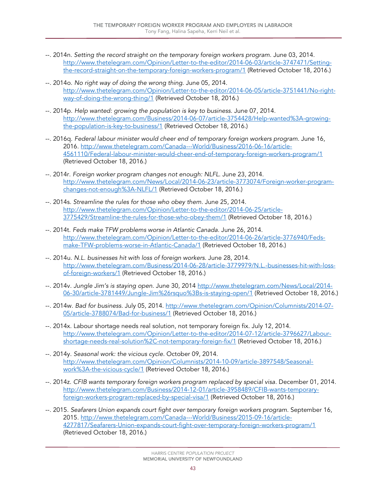- --. 2014n. *Setting the record straight on the temporary foreign workers program*. June 03, 2014. [http://www.thetelegram.com/Opinion/Letter-to-the-editor/2014-06-03/article-3747471/Setting](http://www.thetelegram.com/Opinion/Letter-to-the-editor/2014-06-03/article-3747471/Setting-the-record-straight-on-the-temporary-foreign-workers-program/1)[the-record-straight-on-the-temporary-foreign-workers-program/1](http://www.thetelegram.com/Opinion/Letter-to-the-editor/2014-06-03/article-3747471/Setting-the-record-straight-on-the-temporary-foreign-workers-program/1) (Retrieved October 18, 2016.)
- --. 2014o. *No right way of doing the wrong thing*. June 05, 2014. [http://www.thetelegram.com/Opinion/Letter-to-the-editor/2014-06-05/article-3751441/No-right](http://www.thetelegram.com/Opinion/Letter-to-the-editor/2014-06-05/article-3751441/No-right-way-of-doing-the-wrong-thing/1)[way-of-doing-the-wrong-thing/1](http://www.thetelegram.com/Opinion/Letter-to-the-editor/2014-06-05/article-3751441/No-right-way-of-doing-the-wrong-thing/1) (Retrieved October 18, 2016.)
- --. 2014p. *Help wanted: growing the population is key to business*. June 07, 2014. [http://www.thetelegram.com/Business/2014-06-07/article-3754428/Help-wanted%3A-growing](http://www.thetelegram.com/Business/2014-06-07/article-3754428/Help-wanted%3A-growing-the-population-is-key-to-business/1)[the-population-is-key-to-business/1](http://www.thetelegram.com/Business/2014-06-07/article-3754428/Help-wanted%3A-growing-the-population-is-key-to-business/1) (Retrieved October 18, 2016.)
- --. 2016q. *Federal labour minister would cheer end of temporary foreign workers program*. June 16, 2016. [http://www.thetelegram.com/Canada---World/Business/2016-06-16/article-](http://www.thetelegram.com/Canada---World/Business/2016-06-16/article-4561110/Federal-labour-minister-would-cheer-end-of-temporary-foreign-workers-program/1)[4561110/Federal-labour-minister-would-cheer-end-of-temporary-foreign-workers-program/1](http://www.thetelegram.com/Canada---World/Business/2016-06-16/article-4561110/Federal-labour-minister-would-cheer-end-of-temporary-foreign-workers-program/1) (Retrieved October 18, 2016.)
- --. 2014r. *Foreign worker program changes not enough: NLFL*. June 23, 2014. [http://www.thetelegram.com/News/Local/2014-06-23/article-3773074/Foreign-worker-program](http://www.thetelegram.com/News/Local/2014-06-23/article-3773074/Foreign-worker-program-changes-not-enough%3A-NLFL/1)[changes-not-enough%3A-NLFL/1](http://www.thetelegram.com/News/Local/2014-06-23/article-3773074/Foreign-worker-program-changes-not-enough%3A-NLFL/1) (Retrieved October 18, 2016.)
- --. 2014s. *Streamline the rules for those who obey them*. June 25, 2014. [http://www.thetelegram.com/Opinion/Letter-to-the-editor/2014-06-25/article-](http://www.thetelegram.com/Opinion/Letter-to-the-editor/2014-06-25/article-3775429/Streamline-the-rules-for-those-who-obey-them/1)[3775429/Streamline-the-rules-for-those-who-obey-them/1](http://www.thetelegram.com/Opinion/Letter-to-the-editor/2014-06-25/article-3775429/Streamline-the-rules-for-those-who-obey-them/1) (Retrieved October 18, 2016.)
- --. 2014t. *Feds make TFW problems worse in Atlantic Canada*. June 26, 2014. [http://www.thetelegram.com/Opinion/Letter-to-the-editor/2014-06-26/article-3776940/Feds](http://www.thetelegram.com/Opinion/Letter-to-the-editor/2014-06-26/article-3776940/Feds-make-TFW-problems-worse-in-Atlantic-Canada/1)[make-TFW-problems-worse-in-Atlantic-Canada/1](http://www.thetelegram.com/Opinion/Letter-to-the-editor/2014-06-26/article-3776940/Feds-make-TFW-problems-worse-in-Atlantic-Canada/1) (Retrieved October 18, 2016.)
- --. 2014u. *N.L. businesses hit with loss of foreign workers*. June 28, 2014. [http://www.thetelegram.com/Business/2014-06-28/article-3779979/N.L.-businesses-hit-with-loss](http://www.thetelegram.com/Business/2014-06-28/article-3779979/N.L.-businesses-hit-with-loss-of-foreign-workers/1)[of-foreign-workers/1](http://www.thetelegram.com/Business/2014-06-28/article-3779979/N.L.-businesses-hit-with-loss-of-foreign-workers/1) (Retrieved October 18, 2016.)
- --. 2014v. *Jungle Jim's is staying open*. June 30, 2014 [http://www.thetelegram.com/News/Local/2014-](http://www.thetelegram.com/News/Local/2014-06-30/article-3781449/Jungle-Jim%26rsquo%3Bs-is-staying-open/1) [06-30/article-3781449/Jungle-Jim%26rsquo%3Bs-is-staying-open/1](http://www.thetelegram.com/News/Local/2014-06-30/article-3781449/Jungle-Jim%26rsquo%3Bs-is-staying-open/1) (Retrieved October 18, 2016.)
- --. 2014w. *Bad for business*. July 05, 2014. [http://www.thetelegram.com/Opinion/Columnists/2014-07-](http://www.thetelegram.com/Opinion/Columnists/2014-07-05/article-3788074/Bad-for-business/1) [05/article-3788074/Bad-for-business/1](http://www.thetelegram.com/Opinion/Columnists/2014-07-05/article-3788074/Bad-for-business/1) (Retrieved October 18, 2016.)
- --. 2014x. Labour shortage needs real solution, not temporary foreign fix. July 12, 2014. [http://www.thetelegram.com/Opinion/Letter-to-the-editor/2014-07-12/article-3796627/Labour](http://www.thetelegram.com/Opinion/Letter-to-the-editor/2014-07-12/article-3796627/Labour-shortage-needs-real-solution%2C-not-temporary-foreign-fix/1)[shortage-needs-real-solution%2C-not-temporary-foreign-fix/1](http://www.thetelegram.com/Opinion/Letter-to-the-editor/2014-07-12/article-3796627/Labour-shortage-needs-real-solution%2C-not-temporary-foreign-fix/1) (Retrieved October 18, 2016.)
- --. 2014y. *Seasonal work: the vicious cycle*. October 09, 2014. [http://www.thetelegram.com/Opinion/Columnists/2014-10-09/article-3897548/Seasonal](http://www.thetelegram.com/Opinion/Columnists/2014-10-09/article-3897548/Seasonal-work%3A-the-vicious-cycle/1)[work%3A-the-vicious-cycle/1](http://www.thetelegram.com/Opinion/Columnists/2014-10-09/article-3897548/Seasonal-work%3A-the-vicious-cycle/1) (Retrieved October 18, 2016.)
- --. 2014z. *CFIB wants temporary foreign workers program replaced by special visa*. December 01, 2014. [http://www.thetelegram.com/Business/2014-12-01/article-3958489/CFIB-wants-temporary](http://www.thetelegram.com/Business/2014-12-01/article-3958489/CFIB-wants-temporary-foreign-workers-program-replaced-by-special-visa/1)[foreign-workers-program-replaced-by-special-visa/1](http://www.thetelegram.com/Business/2014-12-01/article-3958489/CFIB-wants-temporary-foreign-workers-program-replaced-by-special-visa/1) (Retrieved October 18, 2016.)
- --. 2015. *Seafarers Union expands court fight over temporary foreign workers program*. September 16, 2015. [http://www.thetelegram.com/Canada---World/Business/2015-09-16/article-](http://www.thetelegram.com/Canada---World/Business/2015-09-16/article-4277817/Seafarers-Union-expands-court-fight-over-temporary-foreign-workers-program/1)[4277817/Seafarers-Union-expands-court-fight-over-temporary-foreign-workers-program/1](http://www.thetelegram.com/Canada---World/Business/2015-09-16/article-4277817/Seafarers-Union-expands-court-fight-over-temporary-foreign-workers-program/1) (Retrieved October 18, 2016.)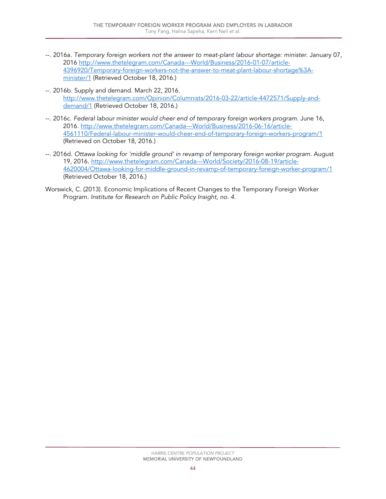- --. 2016a. *Temporary foreign workers not the answer to meat-plant labour shortage: minister*. January 07, 2016 [http://www.thetelegram.com/Canada---World/Business/2016-01-07/article-](http://www.thetelegram.com/Canada---World/Business/2016-01-07/article-4396920/Temporary-foreign-workers-not-the-answer-to-meat-plant-labour-shortage%3A-minister/1)[4396920/Temporary-foreign-workers-not-the-answer-to-meat-plant-labour-shortage%3A](http://www.thetelegram.com/Canada---World/Business/2016-01-07/article-4396920/Temporary-foreign-workers-not-the-answer-to-meat-plant-labour-shortage%3A-minister/1)[minister/1](http://www.thetelegram.com/Canada---World/Business/2016-01-07/article-4396920/Temporary-foreign-workers-not-the-answer-to-meat-plant-labour-shortage%3A-minister/1) (Retrieved October 18, 2016.)
- --. 2016b. Supply and demand. March 22, 2016. [http://www.thetelegram.com/Opinion/Columnists/2016-03-22/article-4472571/Supply-and](http://www.thetelegram.com/Opinion/Columnists/2016-03-22/article-4472571/Supply-and-demand/1)[demand/1](http://www.thetelegram.com/Opinion/Columnists/2016-03-22/article-4472571/Supply-and-demand/1) (Retrieved October 18, 2016.)
- --. 2016c. *Federal labour minister would cheer end of temporary foreign workers program*. June 16, 2016. [http://www.thetelegram.com/Canada---World/Business/2016-06-16/article-](http://www.thetelegram.com/Canada---World/Business/2016-06-16/article-4561110/Federal-labour-minister-would-cheer-end-of-temporary-foreign-workers-program/1)[4561110/Federal-labour-minister-would-cheer-end-of-temporary-foreign-workers-program/1](http://www.thetelegram.com/Canada---World/Business/2016-06-16/article-4561110/Federal-labour-minister-would-cheer-end-of-temporary-foreign-workers-program/1)  (Retrieved on October 18, 2016.)
- --. 2016d. *Ottawa looking for 'middle ground' in revamp of temporary foreign worker program*. August 19, 2016. [http://www.thetelegram.com/Canada---World/Society/2016-08-19/article-](http://www.thetelegram.com/Canada---World/Society/2016-08-19/article-4620004/Ottawa-looking-for-middle-ground-in-revamp-of-temporary-foreign-worker-program/1)[4620004/Ottawa-looking-for-middle-ground-in-revamp-of-temporary-foreign-worker-program/1](http://www.thetelegram.com/Canada---World/Society/2016-08-19/article-4620004/Ottawa-looking-for-middle-ground-in-revamp-of-temporary-foreign-worker-program/1) (Retrieved October 18, 2016.)
- Worswick, C. (2013). Economic Implications of Recent Changes to the Temporary Foreign Worker Program. *Institute for Research on Public Policy Insight, no. 4.*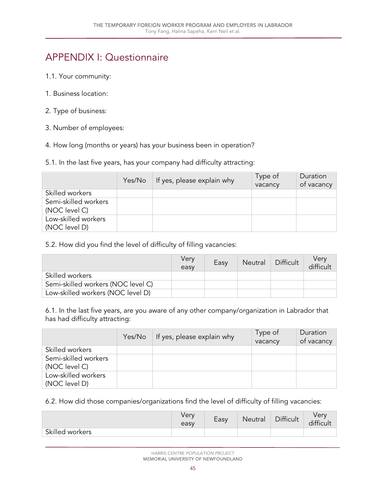## <span id="page-46-0"></span>APPENDIX I: Questionnaire

- 1.1. Your community:
- 1. Business location:
- 2. Type of business:
- 3. Number of employees:
- 4. How long (months or years) has your business been in operation?
- 5.1. In the last five years, has your company had difficulty attracting:

|                                       | Yes/No | If yes, please explain why | Type of<br>vacancy | Duration<br>of vacancy |
|---------------------------------------|--------|----------------------------|--------------------|------------------------|
| Skilled workers                       |        |                            |                    |                        |
| Semi-skilled workers<br>(NOC level C) |        |                            |                    |                        |
| Low-skilled workers<br>(NOC level D)  |        |                            |                    |                        |

5.2. How did you find the level of difficulty of filling vacancies:

|                                    | Verv<br>easy | Easy | Neutral | Difficult | Verv<br>difficult |
|------------------------------------|--------------|------|---------|-----------|-------------------|
| Skilled workers                    |              |      |         |           |                   |
| Semi-skilled workers (NOC level C) |              |      |         |           |                   |
| Low-skilled workers (NOC level D)  |              |      |         |           |                   |

6.1. In the last five years, are you aware of any other company/organization in Labrador that has had difficulty attracting:

|                                       | Yes/No | If yes, please explain why | Type of<br>vacancy | Duration<br>of vacancy |
|---------------------------------------|--------|----------------------------|--------------------|------------------------|
| Skilled workers                       |        |                            |                    |                        |
| Semi-skilled workers<br>(NOC level C) |        |                            |                    |                        |
| Low-skilled workers<br>(NOC level D)  |        |                            |                    |                        |

6.2. How did those companies/organizations find the level of difficulty of filling vacancies:

|                 | verv<br>easy | Easy | Neutral | Difficult | Very<br>difficult |
|-----------------|--------------|------|---------|-----------|-------------------|
| Skilled workers |              |      |         |           |                   |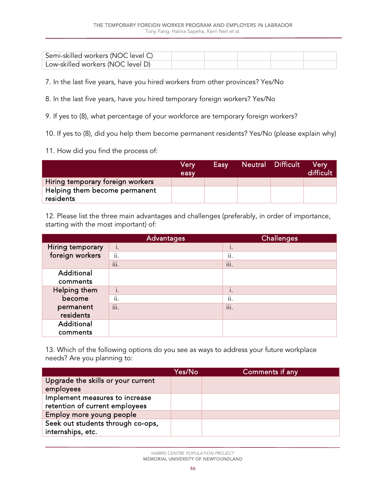| Semi-skilled workers (NOC level C) |  |  |  |
|------------------------------------|--|--|--|
| Low-skilled workers (NOC level D)  |  |  |  |

7. In the last five years, have you hired workers from other provinces? Yes/No

- 8. In the last five years, have you hired temporary foreign workers? Yes/No
- 9. If yes to (8), what percentage of your workforce are temporary foreign workers?

10. If yes to (8), did you help them become permanent residents? Yes/No (please explain why)

11. How did you find the process of:

|                                            | Very<br>easy | Easy | Neutral Difficult | <b>Verv</b><br>difficult |
|--------------------------------------------|--------------|------|-------------------|--------------------------|
| Hiring temporary foreign workers           |              |      |                   |                          |
| Helping them become permanent<br>residents |              |      |                   |                          |

12. Please list the three main advantages and challenges (preferably, in order of importance, starting with the most important) of:

|                  | Advantages     | <b>Challenges</b> |
|------------------|----------------|-------------------|
| Hiring temporary | i.             | ı.                |
| foreign workers  | ii.            | ii.               |
|                  | $\cdots$<br>Ш. | $\cdots$<br>Ш.    |
| Additional       |                |                   |
| comments         |                |                   |
| Helping them     | i.             | ı.                |
| become           | ii.            | ii.               |
| permanent        | iii.           | iii.              |
| residents        |                |                   |
| Additional       |                |                   |
| comments         |                |                   |

13. Which of the following options do you see as ways to address your future workplace needs? Are you planning to:

|                                                 | Yes/No | Comments if any |
|-------------------------------------------------|--------|-----------------|
| Upgrade the skills or your current<br>employees |        |                 |
|                                                 |        |                 |
| Implement measures to increase                  |        |                 |
| retention of current employees                  |        |                 |
| Employ more young people                        |        |                 |
| Seek out students through co-ops,               |        |                 |
| internships, etc.                               |        |                 |